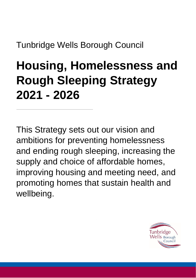Tunbridge Wells Borough Council

# <span id="page-0-0"></span>**Housing, Homelessness and Rough Sleeping Strategy 2021 - 2026**

This Strategy sets out our vision and ambitions for preventing homelessness and ending rough sleeping, increasing the supply and choice of affordable homes, improving housing and meeting need, and promoting homes that sustain health and wellbeing.

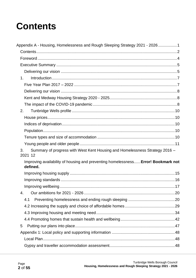# <span id="page-1-0"></span>**Contents**

| Appendix A - Housing, Homelessness and Rough Sleeping Strategy 2021 - 20261                   |  |
|-----------------------------------------------------------------------------------------------|--|
|                                                                                               |  |
|                                                                                               |  |
|                                                                                               |  |
|                                                                                               |  |
| 1 <sub>1</sub>                                                                                |  |
|                                                                                               |  |
|                                                                                               |  |
|                                                                                               |  |
|                                                                                               |  |
| 2.                                                                                            |  |
|                                                                                               |  |
|                                                                                               |  |
|                                                                                               |  |
|                                                                                               |  |
|                                                                                               |  |
|                                                                                               |  |
| 3.<br>Summary of progress with West Kent Housing and Homelessness Strategy 2016 -<br>2021 12  |  |
| Improving availability of housing and preventing homelessness Error! Bookmark not<br>defined. |  |
|                                                                                               |  |
|                                                                                               |  |
|                                                                                               |  |
| 4.                                                                                            |  |
| 4.1                                                                                           |  |
|                                                                                               |  |
|                                                                                               |  |
|                                                                                               |  |
| 5                                                                                             |  |
|                                                                                               |  |
|                                                                                               |  |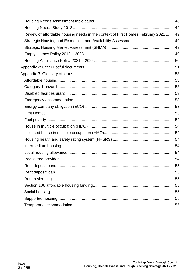| Review of affordable housing needs in the context of First Homes February 2021  49 |  |
|------------------------------------------------------------------------------------|--|
|                                                                                    |  |
|                                                                                    |  |
|                                                                                    |  |
|                                                                                    |  |
|                                                                                    |  |
|                                                                                    |  |
|                                                                                    |  |
|                                                                                    |  |
|                                                                                    |  |
|                                                                                    |  |
|                                                                                    |  |
|                                                                                    |  |
|                                                                                    |  |
|                                                                                    |  |
|                                                                                    |  |
|                                                                                    |  |
|                                                                                    |  |
|                                                                                    |  |
|                                                                                    |  |
|                                                                                    |  |
|                                                                                    |  |
|                                                                                    |  |
|                                                                                    |  |
|                                                                                    |  |
|                                                                                    |  |
|                                                                                    |  |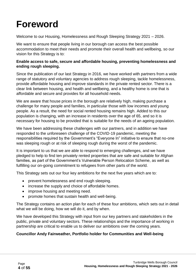# <span id="page-3-0"></span>**Foreword**

Welcome to our Housing, Homelessness and Rough Sleeping Strategy 2021 – 2026.

We want to ensure that people living in our borough can access the best possible accommodation to meet their needs and promote their overall health and wellbeing, so our vision for this Strategy is to:

#### **Enable access to safe, secure and affordable housing, preventing homelessness and ending rough sleeping.**

Since the publication of our last Strategy in 2016, we have worked with partners from a wide range of statutory and voluntary agencies to address rough sleeping, tackle homelessness, provide affordable housing and improve standards in the private rented sector. There is a clear link between housing, and health and wellbeing, and a healthy home is one that is affordable and secure and provides for all household needs.

We are aware that house prices in the borough are relatively high, making purchase a challenge for many people and families, in particular those with low incomes and young people. As a result, the need for social rented housing remains high. Added to this our population is changing, with an increase in residents over the age of 65, and so it is necessary for housing to be provided that is suitable for the needs of an ageing population.

We have been addressing these challenges with our partners, and in addition we have responded to the unforeseen challenge of the COVID-19 pandemic, meeting the responsibilities required by the Government's "Everyone In" initiative to ensure that no-one was sleeping rough or at risk of sleeping rough during the worst of the pandemic.

It is important to us that we are able to respond to emerging challenges, and we have pledged to help to find ten privately rented properties that are safe and suitable for Afghan families, as part of the Government's Vulnerable Person Relocation Scheme, as well as fulfilling our on-going commitment to refugees from other parts of the world.

This Strategy sets out our four key ambitions for the next five years which are to:

- prevent homelessness and end rough sleeping.
- increase the supply and choice of affordable homes.
- improve housing and meeting need.
- promote homes that sustain health and well-being.

The Strategy contains an action plan for each of these four ambitions, which sets out in detail what we will be doing, how we will do it, and by when.

We have developed this Strategy with input from our key partners and stakeholders in the public, private and voluntary sectors. These relationships and the importance of working in partnership are critical to enable us to deliver our ambitions over the coming years.

#### **Councillor Andy Fairweather, Portfolio holder for Communities and Well-being**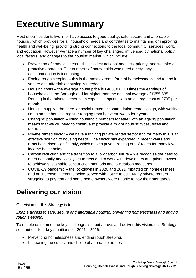# <span id="page-4-0"></span>**Executive Summary**

Most of our residents live in or have access to good quality, safe, secure and affordable housing, which provides for all household needs and contributes to maintaining or improving health and well-being, providing strong connections to the local community, services, work, and education. However we face a number of key challenges, influenced by national policy, local factors, and changes to the housing market, which include:

- Prevention of homelessness this is a key national and local priority, and we take a proactive approach. The numbers of households who need emergency accommodation is increasing.
- Ending rough sleeping this is the most extreme form of homelessness and to end it, secure and affordable housing is needed.
- Housing costs the average house price is £400,000, 13 times the earnings of households in the Borough and far higher than the national average of £255,535. Renting in the private sector is an expensive option, with an average cost of £795 per month.
- Housing supply the need for social rented accommodation remains high, with waiting times on the housing register ranging from between two to four years.
- Changing population rising household numbers together with an ageing population means that we will need to continue to provide a mix of housing types, sizes and tenures.
- Private rented sector we have a thriving private rented sector and for many this is an effective solution to housing needs. The sector has expanded in recent years and rents have risen significantly, which makes private renting out of reach for many low income households.
- Carbon reduction and the transition to a low carbon future we recognise the need to meet nationally and locally set targets and to work with developers and private owners to achieve sustainable construction methods and low carbon measures.
- COVID-19 pandemic the lockdowns in 2020 and 2021 impacted on homelessness and an increase in tenants being served with notice to quit. Many private renters struggled to pay rent and some home owners were unable to pay their mortgages.

# <span id="page-4-1"></span>**Delivering our vision**

Our vision for this Strategy is to:

*Enable access to safe, secure and affordable housing, preventing homelessness and ending rough sleeping.* 

To enable us to meet the key challenges set out above, and deliver this vision, this Strategy sets out our four key ambitions for 2021 – 2026:

- Preventing homelessness and ending rough sleeping.
- Increasing the supply and choice of affordable homes.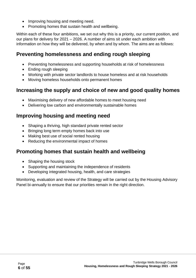- Improving housing and meeting need.
- Promoting homes that sustain health and wellbeing.

Within each of these four ambitions, we set out why this is a priority, our current position, and our plans for delivery for 2021 – 2026. A number of aims sit under each ambition with information on how they will be delivered, by when and by whom. The aims are as follows:

### **Preventing homelessness and ending rough sleeping**

- Preventing homelessness and supporting households at risk of homelessness
- Ending rough sleeping
- Working with private sector landlords to house homeless and at risk households
- Moving homeless households onto permanent homes

### **Increasing the supply and choice of new and good quality homes**

- Maximising delivery of new affordable homes to meet housing need
- Delivering low carbon and environmentally sustainable homes

### **Improving housing and meeting need**

- Shaping a thriving, high standard private rented sector
- Bringing long term empty homes back into use
- Making best use of social rented housing
- Reducing the environmental impact of homes

### **Promoting homes that sustain health and wellbeing**

- Shaping the housing stock
- Supporting and maintaining the independence of residents
- Developing integrated housing, health, and care strategies

Monitoring, evaluation and review of the Strategy will be carried out by the Housing Advisory Panel bi-annually to ensure that our priorities remain in the right direction.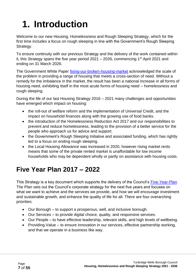# <span id="page-6-0"></span>**1. Introduction**

Welcome to our new Housing, Homelessness and Rough Sleeping Strategy, which for the first time includes a focus on rough sleeping in line with the Government's Rough Sleeping Strategy.

To ensure continuity with our previous Strategy and the delivery of the work contained within it, this Strategy spans the five year period  $2021 - 2026$ , commencing 1<sup>st</sup> April 2021 and ending on 31 March 2026.

The Government White Paper [fixing-our-broken-housing-market](https://www.gov.uk/government/publications/fixing-our-broken-housing-market) acknowledged the scale of the problem in providing a range of housing that meets a cross-section of need. Without a remedy for the imbalance in the market, the result has been a national increase in all forms of housing need, exhibiting itself in the most acute forms of housing need – homelessness and rough sleeping.

During the life of our last Housing Strategy 2016 – 2021 many challenges and opportunities have emerged which impact on housing:

- the roll-out of welfare reform and the implementation of Universal Credit, and the impact on household finances along with the growing use of food banks.
- the introduction of the Homelessness Reduction Act 2017 and our responsibilities to prevent and reduce homelessness, leading to the provision of a better service for the people who approach us for advice and support.
- the Government's Rough Sleeping Initiative and associated funding, which has rightly led to a focus on ending rough sleeping.
- the Local Housing Allowance was increased in 2020, however rising market rents means that some of the private rented market is unaffordable for low income households who may be dependent wholly or partly on assistance with housing costs.

# <span id="page-6-1"></span>**Five Year Plan 2017 – 2022**

This Strategy is a key document which supports the delivery of the Council's [Five-Year-Plan.](https://www.tunbridgewells.gov.uk/council/strategies-plans-and-policies/the-five-year-plan) The Plan sets out the Council's corporate strategy for the next five years and focuses on what we want to achieve and the services we provide, and how we will encourage investment and sustainable growth, and enhance the quality of life for all. There are four overarching priorities:

- Our Borough to support a prosperous, well, and inclusive borough.
- Our Services to provide digital choice, quality, and responsive services.
- Our People to have effective leadership, relevant skills, and high levels of wellbeing.
- Providing Value to ensure innovation in our services, effective partnership working, and that we operate in a business like way.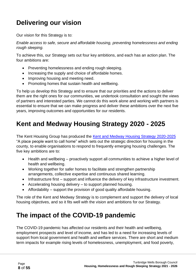# <span id="page-7-0"></span>**Delivering our vision**

Our vision for this Strategy is to:

*Enable access to safe, secure and affordable housing, preventing homelessness and ending rough sleeping.* 

To achieve this, our Strategy sets out four key ambitions, and each has an action plan. The four ambitions are:

- Preventing homelessness and ending rough sleeping.
- Increasing the supply and choice of affordable homes.
- Improving housing and meeting need.
- Promoting homes that sustain health and wellbeing.

To help us develop this Strategy and to ensure that our priorities and the actions to deliver them are the right ones for our communities, we undertook consultation and sought the views of partners and interested parties. We cannot do this work alone and working with partners is essential to ensure that we can make progress and deliver these ambitions over the next five years, improving outcomes and opportunities for our residents.

# <span id="page-7-1"></span>**Kent and Medway Housing Strategy 2020 - 2025**

The Kent Housing Group has produced the Kent [and Medway](https://www.kenthousinggroup.org.uk/assets/uploads/large/FINAL-Kent-Medway-Housing-Strategy-2020-2025-29.7.2020.pdf) Housing Strategy 2020-2025 "A place people want to call home" which sets out the strategic direction for housing in the county, to enable organisations to respond to frequently emerging housing challenges. The five key ambitions are to:

- Health and wellbeing proactively support all communities to achieve a higher level of health and wellbeing.
- Working together for safer homes to facilitate and strengthen partnership arrangements, collective expertise and continuous shared learning.
- Infrastructure first support and influence the delivery of key infrastructure investment.
- Accelerating housing delivery to support planned housing.
- Affordability support the provision of good quality affordable housing.

The role of the Kent and Medway Strategy is to complement and support the delivery of local housing objectives, and so it fits well with the vision and ambitions for our Strategy.

## <span id="page-7-2"></span>**The impact of the COVID-19 pandemic**

The COVID-19 pandemic has affected our residents and their health and wellbeing, employment prospects and level of income, and has led to a need for increasing levels of support from local government and health and welfare services. There are short and medium term impacts for example rising levels of homelessness, unemployment, and food poverty,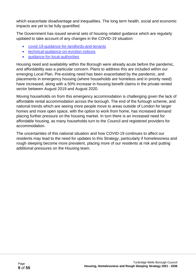which exacerbate disadvantage and inequalities. The long term health, social and economic impacts are yet to be fully quantified.

The Government has issued several sets of housing related guidance which are regularly updated to take account of any changes in the COVID-19 situation:

- [covid-19-guidance-for-landlords-and-tenants](https://www.gov.uk/government/publications/covid-19-and-renting-guidance-for-landlords-tenants-and-local-authorities/coronavirus-covid-19-guidance-for-landlords-and-tenants)
- [technical-guidance-on-eviction-notices](https://www.gov.uk/government/publications/covid-19-and-renting-guidance-for-landlords-tenants-and-local-authorities/technical-guidance-on-eviction-notices)
- [guidance-for-local-authorities](https://www.gov.uk/government/publications/covid-19-and-renting-guidance-for-landlords-tenants-and-local-authorities/guidance-for-local-authorities)

Housing need and availability within the Borough were already acute before the pandemic, and affordability was a particular concern. Plans to address this are included within our emerging Local Plan. Pre-existing need has been exacerbated by the pandemic, and placements in emergency housing (where households are homeless and in priority need) have increased, along with a 50% increase in housing benefit claims in the private rented sector between August 2019 and August 2020.

Moving households on from this emergency accommodation is challenging given the lack of affordable rental accommodation across the borough. The end of the furlough scheme, and national trends which are seeing more people move to areas outside of London for larger homes and more open space, with the option to work from home, has increased demand placing further pressure on the housing market. In turn there is an increased need for affordable housing, as many households turn to the Council and registered providers for accommodation.

The uncertainties of this national situation and how COVID-19 continues to affect our residents may lead to the need for updates to this Strategy, particularly if homelessness and rough sleeping become more prevalent, placing more of our residents at risk and putting additional pressures on the Housing team.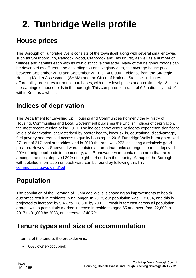# <span id="page-9-0"></span>**2. Tunbridge Wells profile**

# <span id="page-9-1"></span>**House prices**

The Borough of Tunbridge Wells consists of the town itself along with several smaller towns such as Southborough, Paddock Wood, Cranbrook and Hawkhurst, as well as a number of villages and hamlets each with its own distinctive character. Many of the neighbourhoods can be described as affluent, and according to Land Registry data, the average house price between September 2020 and September 2021 is £400,000. Evidence from the Strategic Housing Market Assessment (SHMA) and the Office of National Statistics indicates affordability pressures for house purchases, with entry level prices at approximately 13 times the earnings of households in the borough. This compares to a ratio of 6.5 nationally and 10 within Kent as a whole.

## <span id="page-9-2"></span>**Indices of deprivation**

The Department for Levelling Up, Housing and Communities (formerly the Ministry of Housing, Communities and Local Government publishes the English indices of deprivation, the most recent version being 2019. The indices show where residents experience significant levels of deprivation, characterised by poorer health, lower skills, educational disadvantage, fuel poverty and reduced access to quality housing. In 2015 Tunbridge Wells borough ranked 271 out of 317 local authorities, and in 2019 the rank was 273 indicating a relatively good position. However, Sherwood ward contains an area that ranks amongst the most deprived 20% of neighbourhoods in the country, and Broadwater ward contains an area that ranks amongst the most deprived 30% of neighbourhoods in the country. A map of the Borough with detailed information on each ward can be found by following this link [communities.gov.uk/imd/iod](http://dclgapps.communities.gov.uk/imd/iod_index.html)

## <span id="page-9-3"></span>**Population**

The population of the Borough of Tunbridge Wells is changing as improvements to health outcomes result in residents living longer. In 2018, our population was 118,054, and this is projected to increase by 9.4% to 128,800 by 2033. Growth is forecast across all population groups with a particularly marked increase in residents aged 65 and over, from 22,600 in 2017 to 31,800 by 2033, an increase of 40.7%.

## <span id="page-9-4"></span>**Tenure types and size of accommodation**

In terms of the tenure, the breakdown is:

• 66% owner-occupied;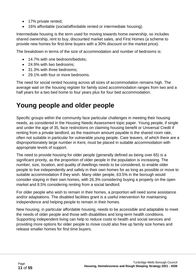- 17% private rented;
- 16% affordable (social/affordable rented or intermediate housing).

Intermediate housing is the term used for moving towards home ownership, so includes shared ownership, rent to buy, discounted market sales, and First Homes (a scheme to provide new homes for first-time buyers with a 30% discount on the market price).

The breakdown in terms of the size of accommodation and number of bedrooms is:

- 14.7% with one bedroom/bedsits:
- 24.9% with two bedrooms:
- 31.3% with three bedrooms:
- 29.1% with four or more bedrooms.

The need for social rented housing across all sizes of accommodation remains high. The average wait on the housing register for family sized accommodation ranges from two and a half years for a two bed home to four years plus for four bed accommodation.

### <span id="page-10-0"></span>**Young people and older people**

Specific groups within the community face particular challenges in meeting their housing needs, as considered in the Housing Needs Assessment topic paper. Young people, if single and under the age of 35, face restrictions on claiming housing benefit or Universal Credit if renting from a private landlord, as the maximum amount payable is the shared room rate, often not suitable in particular for vulnerable young people. Care leavers, of which there are a disproportionately large number in Kent, must be placed in suitable accommodation with appropriate levels of support.

The need to provide housing for older people (generally defined as being over 65) is a significant priority, as the proportion of older people in the population is increasing. The number, size, location, and quality of dwellings needs to be considered, to enable older people to live independently and safely in their own homes for as long as possible or move to suitable accommodation if they wish. Many older people, 63.5% in the borough would consider staying in their own homes, with 26.3% considering buying a property on the open market and 8.5% considering renting from a social landlord.

For older people who wish to remain in their homes, a proportion will need some assistance and/or adaptations. The disabled facilities grant is a useful intervention for maintaining independence and helping people to remain in their homes.

New housing, in particular affordable housing, needs to be accessible and adaptable to meet the needs of older people and those with disabilities and long-term health conditions. Supporting independent living can help to reduce costs to health and social services and providing more options for older people to move could also free up family size homes and release smaller homes for first time buyers.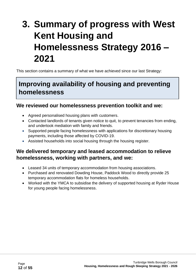# <span id="page-11-0"></span>**3. Summary of progress with West Kent Housing and Homelessness Strategy 2016 – 2021**

This section contains a summary of what we have achieved since our last Strategy:

### **Improving availability of housing and preventing homelessness**

#### **We reviewed our homelessness prevention toolkit and we:**

- Agreed personalised housing plans with customers.
- Contacted landlords of tenants given notice to quit, to prevent tenancies from ending, and undertook mediation with family and friends.
- Supported people facing homelessness with applications for discretionary housing payments, including those affected by COVID-19.
- Assisted households into social housing through the housing register.

### **We delivered temporary and leased accommodation to relieve homelessness, working with partners, and we:**

- Leased 34 units of temporary accommodation from housing associations.
- Purchased and renovated Dowding House, Paddock Wood to directly provide 25 temporary accommodation flats for homeless households.
- Worked with the YMCA to subsidise the delivery of supported housing at Ryder House for young people facing homelessness.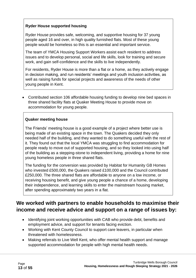#### **Ryder House supported housing**

Ryder House provides safe, welcoming, and supportive housing for 37 young people aged 16 and over, in high quality furnished flats. Most of these young people would be homeless so this is an essential and important service.

The team of YMCA Housing Support Workers assist each resident to address issues and to develop personal, social and life skills, look for training and secure work, and gain self-confidence and the skills to live independently.

For residents, Ryder House is more than a flat or a home, as they actively engage in decision making, and run residents' meetings and youth inclusion activities, as well as raising funds for special projects and awareness of the needs of other young people in Kent.

• Contributed section 106 affordable housing funding to develop nine bed spaces in three shared facility flats at Quaker Meeting House to provide move on accommodation for young people.

#### **Quaker meeting house**

The Friends' meeting house is a good example of a project where better use is being made of an existing space in the town. The Quakers decided they only needed half of the building, and they wanted to do something useful with the rest of it. They found out that the local YMCA was struggling to find accommodation for people ready to move out of supported housing, and so they looked into using half of the building as a stepping-stone to independent living, providing a home for nine young homeless people in three shared flats.

The funding for the conversion was provided by Habitat for Humanity GB Homes who invested £500,000, the Quakers raised £100,000 and the Council contributed £250,000. The three shared flats are affordable to anyone on a low income, or receiving housing benefit, and give young people a chance of a home, developing their independence, and learning skills to enter the mainstream housing market, after spending approximately two years in a flat.

### **We worked with partners to enable households to maximise their income and receive advice and support on a range of issues by:**

- Identifying joint working opportunities with CAB who provide debt, benefits and employment advice, and support for tenants facing eviction.
- Working with Kent County Council to support care leavers, in particular when threatened with homelessness.
- Making referrals to Live Well Kent, who offer mental health support and manage supported accommodation for people with high mental health needs.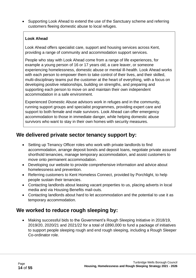• Supporting Look Ahead to extend the use of the Sanctuary scheme and referring customers fleeing domestic abuse to local refuges.

#### **Look Ahead**

Look Ahead offers specialist care, support and housing services across Kent, providing a range of community and accommodation support services.

People who stay with Look Ahead come from a range of life experiences, for example a young person of 16 or 17 years old, a care leaver, or someone experiencing homelessness, domestic abuse or mental ill-health. Look Ahead works with each person to empower them to take control of their lives, and their skilled, multi-disciplinary teams put the customer at the heart of everything, with a focus on developing positive relationships, building on strengths, and preparing and supporting each person to move on and maintain their own independent accommodation in a safe environment.

Experienced Domestic Abuse advisors work in refuges and in the community, running support groups and specialist programmes, providing expert care and support to both female and male survivors. Look Ahead can offer emergency accommodation to those in immediate danger, while helping domestic abuse survivors who want to stay in their own homes with security measures.

### **We delivered private sector tenancy support by:**

- Setting up Tenancy Officer roles who work with private landlords to find accommodation, arrange deposit bonds and deposit loans, negotiate private assured shorthold tenancies, manage temporary accommodation, and assist customers to move onto permanent accommodation.
- Developing our website to provide comprehensive information and advice about homelessness and prevention.
- Referring customers to Kent Homeless Connect, provided by Porchlight, to help people sustain their tenancies.
- Contacting landlords about leasing vacant properties to us, placing adverts in local media and via Housing Benefits mail-outs.
- Contacting landlords about hard to let accommodation and the potential to use it as temporary accommodation.

### **We worked to reduce rough sleeping by:**

• Making successful bids to the Government's Rough Sleeping Initiative in 2018/19, 2019/20, 2020/21 and 2021/22 for a total of £890,000 to fund a package of initiatives to support people sleeping rough and end rough sleeping, including a Rough Sleeper Co-ordinator role.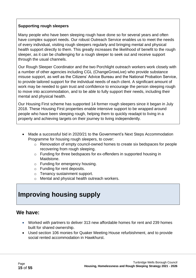#### **Supporting rough sleepers**

Many people who have been sleeping rough have done so for several years and often have complex support needs. Our robust Outreach Service enables us to meet the needs of every individual, visiting rough sleepers regularly and bringing mental and physical health support directly to them. This greatly increases the likelihood of benefit to the rough sleeper, as it can be challenging for a rough sleeper to seek out and receive support through the usual channels.

Our Rough Sleeper Coordinator and the two Porchlight outreach workers work closely with a number of other agencies including CGL (ChangeGrowLive) who provide substance misuse support, as well as the Citizens' Advice Bureau and the National Probation Service, to provide tailored support for the individual needs of each client. A significant amount of work may be needed to gain trust and confidence to encourage the person sleeping rough to move into accommodation, and to be able to fully support their needs, including their mental and physical health.

Our Housing First scheme has supported 14 former rough sleepers since it began in July 2018. These Housing First properties enable intensive support to be wrapped around people who have been sleeping rough, helping them to quickly readapt to living in a property and achieving targets on their journey to living independently.

- Made a successful bid in 2020/21 to the Government's Next Steps Accommodation Programme for housing rough sleepers, to cover:
	- o Renovation of empty council-owned homes to create six bedspaces for people recovering from rough sleeping.
	- o Funding for three bedspaces for ex-offenders in supported housing in Maidstone.
	- o Funding for emergency housing.
	- o Funding for rent deposits.
	- o Tenancy sustainment support.
	- o Mental and physical health outreach workers.

## <span id="page-14-0"></span>**Improving housing supply**

### **We have:**

- Worked with partners to deliver 313 new affordable homes for rent and 239 homes built for shared ownership.
- Used section 106 monies for Quaker Meeting House refurbishment, and to provide social rented accommodation in Hawkhurst.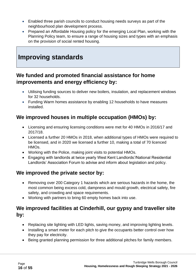- Enabled three parish councils to conduct housing needs surveys as part of the neighbourhood plan development process.
- Prepared an Affordable Housing policy for the emerging Local Plan, working with the Planning Policy team, to ensure a range of housing sizes and types with an emphasis on the provision of social rented housing.

### <span id="page-15-0"></span>**Improving standards**

### **We funded and promoted financial assistance for home improvements and energy efficiency by:**

- Utilising funding sources to deliver new boilers, insulation, and replacement windows for 32 households.
- Funding Warm homes assistance by enabling 12 households to have measures installed.

### **We improved houses in multiple occupation (HMOs) by:**

- Licensing and ensuring licensing conditions were met for 40 HMOs in 2016/17 and 2017/18.
- Licensed a further 20 HMOs in 2018, when additional types of HMOs were required to be licensed, and in 2020 we licensed a further 10, making a total of 70 licenced HMOs.
- Working with the Police, making joint visits to potential HMOs.
- Engaging with landlords at twice yearly West Kent Landlords'/National Residential Landlords' Association Forum to advise and inform about legislation and policy.

### **We improved the private sector by:**

- Removing over 200 Category 1 hazards which are serious hazards in the home, the most common being excess cold, dampness and mould growth, electrical safety, fire safety, and crowding and space requirements.
- Working with partners to bring 60 empty homes back into use.

### **We improved facilities at Cinderhill, our gypsy and traveller site by:**

- Replacing site lighting with LED lights, saving money, and improving lighting levels.
- Installing a smart meter for each pitch to give the occupants better control over how they pay for electricity.
- Being granted planning permission for three additional pitches for family members.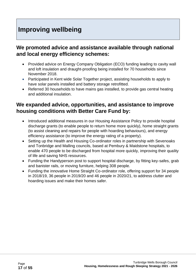### <span id="page-16-0"></span>**Improving wellbeing**

### **We promoted advice and assistance available through national and local energy efficiency schemes:**

- Provided advice on Energy Company Obligation (ECO) funding leading to cavity wall and loft insulation and draught-proofing being installed for 70 households since November 2018.
- Participated in Kent wide Solar Together project, assisting households to apply to have solar panels installed and battery storage retrofitted.
- Referred 30 households to have mains gas installed, to provide gas central heating and additional insulation.

### **We expanded advice, opportunities, and assistance to improve housing conditions with Better Care Fund by:**

- Introduced additional measures in our Housing Assistance Policy to provide hospital discharge grants (to enable people to return home more quickly), home straight grants (to assist cleaning and repairs for people with hoarding behaviours), and energy efficiency assistance (to improve the energy rating of a property).
- Setting up the Health and Housing Co-ordinator roles in partnership with Sevenoaks and Tonbridge and Malling councils, based at Pembury & Maidstone hospitals, to enable 470 people to be discharged from hospital more quickly, improving their quality of life and saving NHS resources.
- Funding the Handyperson post to support hospital discharge, by fitting key-safes, grab and banister rails, or moving furniture, helping 308 people.
- Funding the innovative Home Straight Co-ordinator role, offering support for 34 people in 2018/19, 36 people in 2019/20 and 46 people in 2020/21, to address clutter and hoarding issues and make their homes safer.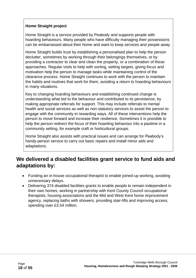#### **Home Straight project**

Home Straight is a service provided by Peabody and supports people with hoarding behaviours. Many people who have difficulty managing their possessions can be embarrassed about their home and want to keep services and people away.

Home Straight builds trust by establishing a personalised plan to help the person declutter, sometimes by working through their belongings themselves, or by providing a contractor to clear and clean the property, or a combination of these approaches. Regular visits to help with sorting, setting targets, giving focus and motivation help the person to manage tasks while maintaining control of the clearance process. Home Straight continues to work with the person to maintain the habits and routines that work for them, avoiding a return to hoarding behaviours in many situations.

Key to changing hoarding behaviours and establishing continued change is understanding what led to the behaviour and contributed to its persistence, by making appropriate referrals for support. This may include referrals to mental health and social services as well as non-statutory services to assist the person to engage with the community in rewarding ways. All of these interventions help the person to move forward and increase their resilience. Sometimes it is possible to help the person redirect the focus of their hoarding behaviour into a pastime in a community setting, for example craft or horticultural groups.

Home Straight also assists with practical issues and can arrange for Peabody's handy-person service to carry out basic repairs and install minor aids and adaptations.

### **We delivered a disabled facilities grant service to fund aids and adaptations by:**

- Funding an in-house occupational therapist to enable joined-up working, avoiding unnecessary delays.
- Delivering 374 disabled facilities grants to enable people to remain independent in their own homes, working in partnership with Kent County Council occupational therapists, housing associations and the Mid and West Kent home improvement agency, replacing baths with showers, providing stair-lifts and improving access, spending over £3.54 million.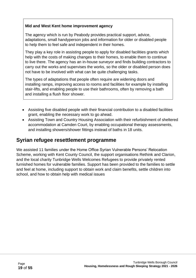#### **Mid and West Kent home improvement agency**

The agency which is run by Peabody provides practical support, advice, adaptations, small handyperson jobs and information for older or disabled people to help them to feel safe and independent in their homes.

They play a key role in assisting people to apply for disabled facilities grants which help with the costs of making changes to their homes, to enable them to continue to live there. The agency has an in-house surveyor and finds building contractors to carry out the works and supervises the works, so the older or disabled person does not have to be involved with what can be quite challenging tasks.

The types of adaptations that people often require are widening doors and installing ramps, improving access to rooms and facilities for example by installing stair-lifts, and enabling people to use their bathrooms, often by removing a bath and installing a flush floor shower.

- Assisting five disabled people with their financial contribution to a disabled facilities grant, enabling the necessary work to go ahead.
- Assisting Town and Country Housing Association with their refurbishment of sheltered accommodation at Camden Court, by enabling occupational therapy assessments, and installing showers/shower fittings instead of baths in 18 units.

### **Syrian refugee resettlement programme**

We assisted 11 families under the Home Office Syrian Vulnerable Persons' Relocation Scheme, working with Kent County Council, the support organisations Rethink and Clarion, and the local charity Tunbridge Wells Welcomes Refugees to provide privately rented furnished homes for vulnerable families. Support has been provided to the families to settle and feel at home, including support to obtain work and claim benefits, settle children into school, and how to obtain help with medical issues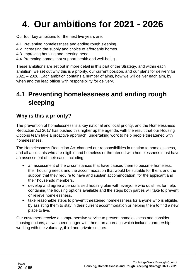# <span id="page-19-0"></span>**4. Our ambitions for 2021 - 2026**

Our four key ambitions for the next five years are:

- 4.1 Preventing homelessness and ending rough sleeping.
- 4.2 Increasing the supply and choice of affordable homes.
- 4.3 Improving housing and meeting need.
- 4.4 Promoting homes that support health and well-being.

These ambitions are set out in more detail in this part of the Strategy, and within each ambition, we set out why this is a priority, our current position, and our plans for delivery for 2021 – 2026. Each ambition contains a number of aims, how we will deliver each aim, by when and the lead officer with responsibility for delivery.

## <span id="page-19-1"></span>**4.1 Preventing homelessness and ending rough sleeping**

### **Why is this a priority?**

The prevention of homelessness is a key national and local priority, and the Homelessness Reduction Act 2017 has pushed this higher up the agenda, with the result that our Housing Options team take a proactive approach, undertaking work to help people threatened with homelessness.

The Homelessness Reduction Act changed our responsibilities in relation to homelessness, and all applicants who are eligible and homeless or threatened with homelessness must have an assessment of their case, including:

- an assessment of the circumstances that have caused them to become homeless, their housing needs and the accommodation that would be suitable for them, and the support that they require to have and sustain accommodation, for the applicant and their household members.
- develop and agree a personalised housing plan with everyone who qualifies for help, containing the housing options available and the steps both parties will take to prevent or relieve homelessness.
- take reasonable steps to prevent threatened homelessness for anyone who is eligible. by assisting them to stay in their current accommodation or helping them to find a new place to live.

Our customers receive a comprehensive service to prevent homelessness and consider housing options, as we spend longer with them, an approach which includes partnership working with the voluntary, third and private sectors.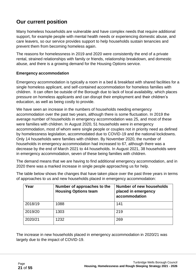### **Our current position**

Many homeless households are vulnerable and have complex needs that require additional support, for example people with mental health needs or experiencing domestic abuse, and care leavers, so our service provides support to help households sustain tenancies and prevent them from becoming homeless again.

The reasons for homelessness in 2019 and 2020 were consistently the end of a private rental, strained relationships with family or friends, relationship breakdown, and domestic abuse, and there is a growing demand for the Housing Options service.

#### **Emergency accommodation**

Emergency accommodation is typically a room in a bed & breakfast with shared facilities for a single homeless applicant, and self-contained accommodation for homeless families with children. It can often be outside of the Borough due to lack of local availability, which places pressure on homeless applicants and can disrupt their employment and their children's education, as well as being costly to provide.

We have seen an increase in the numbers of households needing emergency accommodation over the past two years, although there is some fluctuation. In 2019 the average number of households in emergency accommodation was 25, and most of these were families with children. In August 2020, 51 households were in emergency accommodation, most of whom were single people or couples not in priority need as defined by homelessness legislation, accommodated due to COVID-19 and the national lockdowns. Only 14 households were families with children. By November 2020, the number of households in emergency accommodation had increased to 67, although there was a decrease by the end of March 2021 to 44 households. In August 2021, 38 households were in emergency accommodation, seven of these being families with children.

The demand means that we are having to find additional emergency accommodation, and in 2020 there was a marked increase in single people approaching us for help.

The table below shows the changes that have taken place over the past three years in terms of approaches to us and new households placed in emergency accommodation:

| Year    | Number of approaches to the<br><b>Housing Options team</b> | Number of new households<br>placed in emergency<br>accommodation |
|---------|------------------------------------------------------------|------------------------------------------------------------------|
| 2018/19 | 1088                                                       | 141                                                              |
| 2019/20 | 1303                                                       | 219                                                              |
| 2020/21 | 1232                                                       | 269                                                              |

The increase in new households placed in emergency accommodation in 2020/21 was largely due to the impact of COVID-19.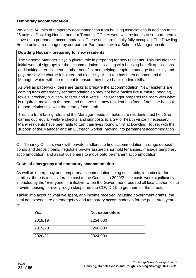#### **Temporary accommodation**

We lease 34 units of temporary accommodation from housing associations in addition to the 25 units at Dowding House, and our Tenancy Officers work with residents to support them to move onto permanent accommodation. These units are usually fully occupied. The Dowding House units are managed by our partner Paramount, with a Scheme Manager on site.

#### **Dowding House – preparing for new residents**

The Scheme Manager plays a pivotal role in preparing for new residents. This includes the initial work of sign-ups for the accommodation, assisting with housing benefit applications and looking at entitlement to other benefits, and helping people to manage financially and pay the service charge for water and electricity. A lap-top has been donated and the Manager works with the resident to ensure they have basic on-line skills.

As well as paperwork, there are tasks to prepare the accommodation. New residents are coming from emergency accommodation so may not have basics like furniture, bedding, towels, crockery & cutlery, toaster and a kettle. The Manager prepares the room with what is required, makes up the bed, and ensures the new resident has food. If not, she has built a good relationship with the nearby food bank.

This is a front facing role, and the Manager needs to make sure residents trust her. She carries out regular welfare checks, and signposts to a GP or health visitor if necessary. Many residents have been able to turn their lives round whilst at Dowding House, with the support of the Manager and an Outreach worker, moving into permanent accommodation.

Our Tenancy Officers work with private landlords to find accommodation, arrange deposit bonds and deposit loans, negotiate private assured shorthold tenancies, manage temporary accommodation, and assist customers to move onto permanent accommodation.

#### **Costs of emergency and temporary accommodation**

As well as emergency and temporary accommodation being unsuitable, in particular for families, there is a considerable cost to the Council. In 2020/21 the costs were significantly impacted by the "Everyone In" initiative, when the Government required all local authorities to provide housing for every rough sleeper due to COVID-19 to get them off the streets.

Taking into account what we spent, and income received including government grants, the total net expenditure on emergency and temporary accommodation for the past three years is:

| Year    | Net expenditure |
|---------|-----------------|
| 2018/19 | £254,000        |
| 2019/20 | £260,000        |
| 2020/21 | £824,000        |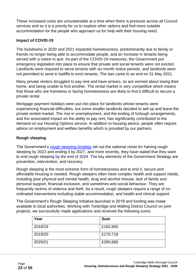These increased costs are unsustainable at a time when there is pressure across all Council services and so it is a priority for us to explore other options and find more suitable accommodation for the people who approach us for help with their housing need.

#### **Impact of COVID-19**

The lockdowns in 2020 and 2021 impacted homelessness, predominantly due to family or friends no longer being able to accommodate people, and an increase in tenants being served with a notice to quit. As part of the COVID-19 measures, the Government put emergency legislation into place to ensure that private and social tenants were not evicted. Landlords were required to serve tenants with six month notice periods, and landlords were not permitted to send in bailiffs to evict tenants. The ban came to an end on 31 May 2021.

Many private renters struggled to pay rent and have arrears, so are worried about losing their home, and being unable to find another. The rental market is very competitive which means that those who are homeless or facing homelessness are likely to find it difficult to secure a private rental.

Mortgage payment holidays were put into place for landlords whose tenants were experiencing financial difficulties, but some smaller landlords decided to sell up and leave the private rented market. The rise in unemployment, and the ending of furlough arrangements, and the associated impact on the ability to pay rent, has significantly contributed to the demand on our Housing Options service. In addition to housing advice, people often require advice on employment and welfare benefits which is provided by our partners.

#### **Rough sleeping**

The Government's [rough-sleeping-strategy](https://www.gov.uk/government/publications/the-rough-sleeping-strategy) set out the national vision for halving rough sleeping by 2022 and ending it by 2027, and more recently, they have stated that they want to end rough sleeping by the end of 2024. The key elements of the Government Strategy are prevention, intervention, and recovery.

Rough sleeping is the most extreme form of homelessness and to end it, secure and affordable housing is needed. Rough sleepers often have complex health and support needs, including poor physical and mental health, drug and alcohol misuse, lack of family and personal support, financial exclusion, and sometimes anti-social behaviour. They are frequently victims of violence and theft. As a result, rough sleepers require a range of coordinated interventions including stable accommodation, and health and clinical support.

The Government's Rough Sleeping Initiative launched in 2018 and funding was made available to local authorities. Working with Tonbridge and Malling District Council on joint projects, we successfully made applications and received the following sums:

| Year    | <b>Sum</b> |
|---------|------------|
| 2018/19 | £162,840   |
| 2019/20 | £170,718   |
| 2020/21 | £260,680   |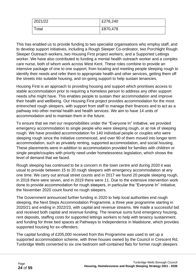| 2021/22 | £276,240 |
|---------|----------|
| Total   | £870,478 |

This has enabled us to provide funding to two specialist organisations who employ staff, and to develop support initiatives, including a Rough Sleeper Co-ordinator, two Porchlight Rough Sleeper Outreach workers, two Housing First project workers, and a Supported Lettings worker. We have also contributed to funding a mental health outreach worker and a complex care nurse, both of whom work across West Kent. These roles combine to provide an intensive package of one to one support, from locating and meeting people sleeping rough to identify their needs and refer them to appropriate health and other services, getting them off the streets into suitable housing, and on-going support to help sustain tenancies.

Housing First is an approach to providing housing and support which prioritises access to stable accommodation prior to requiring a homeless person to address any other support needs s/he might have. This enables people to sustain their accommodation and improve their health and wellbeing. Our Housing First project provides accommodation for the most entrenched rough sleepers, with support from staff to manage their finances and to act as a pathway into other mental health and health services. We aim to have 14 units of accommodation and to maintain them in the future.

To ensure that we met our responsibilities under the "Everyone In" initiative, we provided emergency accommodation to single people who were sleeping rough, or at risk of sleeping rough. We have provided accommodation for 140 individual people or couples who were sleeping rough since the Initiative commenced, and over 90 of them moved into longer term accommodation, such as privately renting, supported accommodation, and social housing. These placements were in addition to accommodation provided for families with children or single people/couples with priority need under homelessness legislation, which shows the level of demand that we faced.

Rough sleeping has continued to be a concern in the town centre and during 2020 it was usual to provide between 15 to 20 rough sleepers with emergency accommodation at any one time. We carry out annual street counts and in 2017 we found 20 people sleeping rough, in 2018 there were seven, and in 2019 there were 11. Due to the extensive intervention work done to provide accommodation for rough sleepers, in particular the "Everyone In" Initiative, the November 2020 count found no rough sleepers.

The Government announced further funding in 2020 to help local authorities end rough sleeping, the Next Steps Accommodation Programme, a three year programme starting in 2020/21 and ending in 2022/23, with capital and revenue streams. We made a successful bid and received both capital and revenue funding. The revenue sums fund emergency housing, rent deposits, staffing costs for supported lettings workers to help with tenancy sustainment, and funding for three bed spaces at Pathways to Independence in Maidstone, which provides supported housing for ex-offenders.

The capital funding of £205,000 received from this Programme was used to set up a supported accommodation scheme, with three houses owned by the Council in Crescent Rd, Tunbridge Wells converted to six one bedroom self-contained flats for former rough sleepers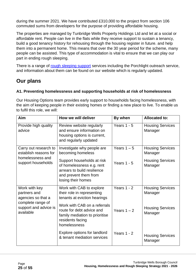during the summer 2021. We have contributed £310,000 to the project from section 106 commuted sums from developers for the purpose of providing affordable housing.

The properties are managed by Tunbridge Wells Property Holdings Ltd and let at a social or affordable rent. People can live in the flats while they receive support to sustain a tenancy, build a good tenancy history for rehousing through the housing register in future. and help them into a permanent home. This means that over the 30 year period for the scheme, many people can be assisted. This type of accommodation is vital to ensure that we can play our part in ending rough sleeping.

There is a range of [rough sleeping support](https://tunbridgewells.gov.uk/housing/homeless-vulnerable-or-at-risk/homelessness) services including the Porchlight outreach service, and information about them can be found on our website which is regularly updated.

### **Our plans**

#### **A1. Preventing homelessness and supporting households at risk of homelessness**

Our Housing Options team provides early support to households facing homelessness, with the aim of keeping people in their existing homes or finding a new place to live. To enable us to fulfil this role, we will:

| Aim                                                                                                            | How we will deliver                                                                                                                                                                                                       | By when                        | <b>Allocated to:</b>                                                     |
|----------------------------------------------------------------------------------------------------------------|---------------------------------------------------------------------------------------------------------------------------------------------------------------------------------------------------------------------------|--------------------------------|--------------------------------------------------------------------------|
| Provide high quality<br>advice                                                                                 | Review website regularly<br>and ensure information on<br>housing options is current,<br>and regularly updated                                                                                                             | Years $1 - 5$                  | <b>Housing Services</b><br>Manager                                       |
| Carry out research to<br>establish reasons for<br>homelessness and<br>support households                       | Investigate why people are<br>becoming homeless<br>Support households at risk<br>of homelessness e.g. rent<br>arrears to build resilience<br>and prevent them from<br>losing their homes                                  | Years $1 - 5$<br>Years $1 - 5$ | <b>Housing Services</b><br>Manager<br><b>Housing Services</b><br>Manager |
| Work with key<br>partners and<br>agencies so that a<br>complete range of<br>support and advice is<br>available | Work with CAB to explore<br>their role in representing<br>tenants at eviction hearings<br>Work with CAB on a referrals<br>route for debt advice and<br>family mediation to prioritise<br>residents facing<br>homelessness | Years $1 - 2$<br>Years $1 - 2$ | <b>Housing Services</b><br>Manager<br><b>Housing Services</b><br>Manager |
|                                                                                                                | Explore options for landlord<br>& tenant mediation services                                                                                                                                                               | Years $1 - 2$                  | <b>Housing Services</b><br>Manager                                       |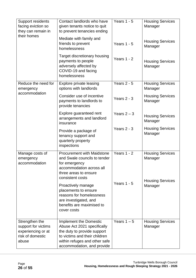| Support residents<br>facing eviction so<br>they can remain in<br>their homes             | Contact landlords who have<br>given tenants notice to quit<br>to prevent tenancies ending                                                                                            | Years $1 - 5$ | <b>Housing Services</b><br>Manager |
|------------------------------------------------------------------------------------------|--------------------------------------------------------------------------------------------------------------------------------------------------------------------------------------|---------------|------------------------------------|
|                                                                                          | Mediate with family and<br>friends to prevent<br>homelessness                                                                                                                        | Years $1 - 5$ | <b>Housing Services</b><br>Manager |
|                                                                                          | Target discretionary housing<br>payments to people<br>adversely affected by<br>COVID-19 and facing<br>homelessness                                                                   | Years $1 - 2$ | <b>Housing Services</b><br>Manager |
| Reduce the need for<br>emergency                                                         | Explore private leasing<br>options with landlords                                                                                                                                    | Years $2 - 5$ | <b>Housing Services</b><br>Manager |
| accommodation                                                                            | Consider use of incentive<br>payments to landlords to<br>provide tenancies                                                                                                           | Years $2 - 3$ | <b>Housing Services</b><br>Manager |
|                                                                                          | Explore guaranteed rent<br>arrangements and landlord<br>insurance                                                                                                                    | Years $2 - 3$ | <b>Housing Services</b><br>Manager |
|                                                                                          | Provide a package of<br>tenancy support and<br>quarterly property<br>inspections                                                                                                     | Years $2 - 3$ | <b>Housing Services</b><br>Manager |
| Manage costs of<br>emergency<br>accommodation                                            | <b>Procurement with Maidstone</b><br>and Swale councils to tender<br>for emergency<br>accommodation across all<br>three areas to ensure<br>consistent costs                          | Years $1 - 2$ | <b>Housing Services</b><br>Manager |
|                                                                                          | Proactively manage<br>placements to ensure<br>reasons for homelessness<br>are investigated, and<br>benefits are maximised to<br>cover costs                                          | Years $1 - 5$ | <b>Housing Services</b><br>Manager |
| Strengthen the<br>support for victims<br>experiencing or at<br>risk of domestic<br>abuse | Implement the Domestic<br>Abuse Act 2021 specifically<br>the duty to provide support<br>to victims and their children<br>within refuges and other safe<br>accommodation, and provide | Years $1 - 5$ | <b>Housing Services</b><br>Manager |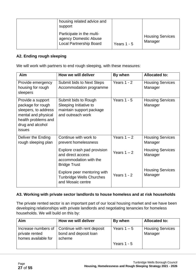| housing related advice and<br>support                                                |               |                                    |
|--------------------------------------------------------------------------------------|---------------|------------------------------------|
| Participate in the multi-<br>agency Domestic Abuse<br><b>Local Partnership Board</b> | Years $1 - 5$ | <b>Housing Services</b><br>Manager |

#### **A2. Ending rough sleeping**

We will work with partners to end rough sleeping, with these measures:

| Aim                                                                                                                                        | How we will deliver                                                                               | By when       | <b>Allocated to:</b>               |
|--------------------------------------------------------------------------------------------------------------------------------------------|---------------------------------------------------------------------------------------------------|---------------|------------------------------------|
| Provide emergency<br>housing for rough<br>sleepers                                                                                         | Submit bids to Next Steps<br>Accommodation programme                                              | Years $1 - 2$ | <b>Housing Services</b><br>Manager |
| Provide a support<br>package for rough<br>sleepers, to address<br>mental and physical<br>health problems and<br>drug and alcohol<br>issues | Submit bids to Rough<br>Sleeping Initiative to<br>maintain support package<br>and outreach work   | Years $1 - 5$ | <b>Housing Services</b><br>Manager |
| Deliver the Ending<br>rough sleeping plan                                                                                                  | Continue with work to<br>prevent homelessness                                                     | Years $1 - 2$ | <b>Housing Services</b><br>Manager |
|                                                                                                                                            | Explore crash pad provision<br>and direct access<br>accommodation with the<br><b>Bridge Trust</b> | Years $1 - 2$ | <b>Housing Services</b><br>Manager |
|                                                                                                                                            | Explore peer mentoring with<br><b>Tunbridge Wells Churches</b><br>and Mosaic centre               | Years $1 - 2$ | <b>Housing Services</b><br>Manager |

#### **A3. Working with private sector landlords to house homeless and at risk households**

The private rented sector is an important part of our local housing market and we have been developing relationships with private landlords and negotiating tenancies for homeless households. We will build on this by:

| Aim                                   | How we will deliver                                                                 | By when       | <b>Allocated to:</b>               |
|---------------------------------------|-------------------------------------------------------------------------------------|---------------|------------------------------------|
| private rented<br>homes available for | Increase numbers of   Continue with rent deposit<br>bond and deposit loan<br>scheme | Years $1 - 5$ | <b>Housing Services</b><br>Manager |
|                                       |                                                                                     | Years $1 - 5$ |                                    |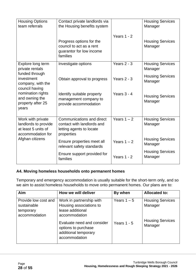| <b>Housing Options</b><br>team referrals                                              | Contact private landlords via<br>the Housing benefits system                                      |               | <b>Housing Services</b><br>Manager |
|---------------------------------------------------------------------------------------|---------------------------------------------------------------------------------------------------|---------------|------------------------------------|
|                                                                                       | Progress options for the<br>council to act as a rent<br>guarantor for low income<br>families      | Years $1 - 2$ | <b>Housing Services</b><br>Manager |
| Explore long term<br>private rentals                                                  | Investigate options                                                                               | Years $2 - 3$ | <b>Housing Services</b><br>Manager |
| funded through<br>investment<br>company, with the<br>council having                   | Obtain approval to progress                                                                       | Years $2 - 3$ | <b>Housing Services</b><br>Manager |
| nomination rights<br>and owning the<br>property after 25<br>years                     | Identify suitable property<br>management company to<br>provide accommodation                      | Years $3 - 4$ | <b>Housing Services</b><br>Manager |
| Work with private<br>landlords to provide<br>at least 5 units of<br>accommodation for | Communications and direct<br>contact with landlords and<br>letting agents to locate<br>properties | Years $1 - 2$ | <b>Housing Services</b><br>Manager |
| Afghan citizens                                                                       | Ensure properties meet all<br>relevant safety standards                                           | Years $1 - 2$ | <b>Housing Services</b><br>Manager |
|                                                                                       | Ensure support provided for<br>families                                                           | Years $1 - 2$ | <b>Housing Services</b><br>Manager |

#### **A4. Moving homeless households onto permanent homes**

Temporary and emergency accommodation is usually suitable for the short-term only, and so we aim to assist homeless households to move onto permanent homes. Our plans are to:

| Aim                                                               | How we will deliver                                                                        | By when       | <b>Allocated to:</b>               |
|-------------------------------------------------------------------|--------------------------------------------------------------------------------------------|---------------|------------------------------------|
| Provide low cost and<br>sustainable<br>temporary<br>accommodation | Work in partnership with<br>Housing associations to<br>lease additional<br>accommodation   | Years $1 - 5$ | <b>Housing Services</b><br>Manager |
|                                                                   | Evaluate need and consider<br>options to purchase<br>additional temporary<br>accommodation | Years $1 - 5$ | <b>Housing Services</b><br>Manager |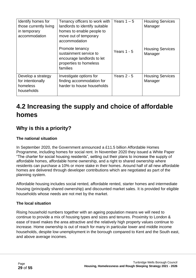| Identify homes for<br>those currently living<br>in temporary<br>accommodation | Tenancy officers to work with<br>landlords to identify suitable<br>homes to enable people to<br>move out of temporary<br>accommodation<br>Promote tenancy<br>sustainment service to<br>encourage landlords to let<br>properties to homeless<br>families | Years $1 - 5$<br>Years $1 - 5$ | <b>Housing Services</b><br>Manager<br><b>Housing Services</b><br>Manager |
|-------------------------------------------------------------------------------|---------------------------------------------------------------------------------------------------------------------------------------------------------------------------------------------------------------------------------------------------------|--------------------------------|--------------------------------------------------------------------------|
| Develop a strategy<br>for intentionally<br>homeless<br>households             | Investigate options for<br>finding accommodation for<br>harder to house households                                                                                                                                                                      | Years $2 - 5$                  | <b>Housing Services</b><br>Manager                                       |

# <span id="page-28-0"></span>**4.2 Increasing the supply and choice of affordable homes**

### **Why is this a priority?**

#### **The national situation**

In September 2020, the Government announced a £11.5 billion Affordable Homes Programme, including homes for social rent. In November 2020 they issued a White Paper "The charter for social housing residents", setting out their plans to increase the supply of affordable homes, affordable home ownership, and a right to shared ownership where residents can purchase a 10% or more stake in their homes. Around half of all new affordable homes are delivered through developer contributions which are negotiated as part of the planning system.

Affordable housing includes social rented, affordable rented, starter homes and intermediate housing (principally shared ownership) and discounted market sales. It is provided for eligible households whose needs are not met by the market.

#### **The local situation**

Rising household numbers together with an ageing population means we will need to continue to provide a mix of housing types and sizes and tenures. Proximity to London & ease of travel makes the area attractive and the relatively high property values continue to increase. Home ownership is out of reach for many in particular lower and middle income households, despite low unemployment in the borough compared to Kent and the South east, and above average incomes.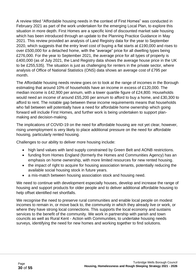A review titled "Affordable housing needs in the context of First Homes" was conducted in February 2021 as part of the work undertaken for the emerging Local Plan, to explore this situation in more depth. First Homes are a specific kind of discounted market sale housing which has been introduced through an update to the Planning Practice Guidance in May 2021. This review provided an analysis of Land Registry data for the year to September 2020, which suggests that the entry level cost of buying a flat starts at £190,000 and rises to over £500,000 for a detached home, with the "average" price for all dwelling types being £276,000. For the year to September 2021, the average price for all types of property is £400,000 (as of July 2021, the Land Registry data shows the average house price in the UK to be £255,535). The situation is just as challenging for renters in the private sector, where analysis of Office of National Statistics (ONS) data shows an average cost of £795 per month.

The Affordable housing needs review goes on to look at the range of incomes in the Borough estimating that around 10% of households have an income in excess of £120,000. The median income is £42,900 per annum, with a lower quartile figure of £24,800. Households would need an income of around £55,200 per annum to afford to buy a home, and £30,300 to afford to rent. The notable gap between these income requirements means that households who fall between will potentially have a need for affordable home ownership which going forward will include First Homes, and further work is being undertaken to support planmaking and decision-making.

The implications of COVID-19 on the need for affordable housing are not yet clear, however, rising unemployment is very likely to place additional pressure on the need for affordable housing, particularly rented housing.

Challenges to our ability to deliver more housing include:

- high land values with land supply constrained by Green Belt and AONB restrictions.
- funding from Homes England (formerly the Homes and Communities Agency) has an emphasis on home ownership, with more limited resources for new rented housing.
- the impact of right to acquire for housing association tenants, potentially reducing the available social housing stock in future years.
- a mis-match between housing association stock and housing need.

We need to continue with development especially houses, develop and increase the range of housing and support products for older people and to deliver additional affordable housing to help offset identified net shortfalls.

We recognise the need to preserve rural communities and enable local people on modest incomes to remain in, or move back to, the community in which they already live or work, or where they have strong local connections. This supports the local economy and sustains services to the benefit of the community. We work in partnership with parish and town councils as well as Rural Kent - Action with Communities, to undertake housing needs surveys, identifying the need for new homes and working together to find solutions.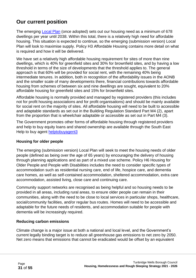### **Our current position**

The emerging [Local Plan](https://tunbridgewells.gov.uk/__data/assets/pdf_file/0009/403587/CD_3.128_Local-Plan_Submission-accessible_reduced.pdf) (once adopted) sets out our housing need as a minimum of 678 dwellings per year until 2038. Within this total, there is a relatively high need for affordable housing. This situation is expected to continue, so the emerging (submission version) Local Plan will look to maximise supply. Policy H3 Affordable Housing contains more detail on what is required and how it will be delivered.

We have set a relatively high affordable housing requirement for sites of more than nine dwellings, which is 40% for greenfield sites and 30% for brownfield sites, and by having a low threshold in terms of the size of developments that the threshold applies to. The general approach is that 60% will be provided for social rent, with the remaining 40% being intermediate tenures. In addition, both in recognition of the affordability issues in the AONB and the smaller scale of many developments there, financial contributions towards affordable housing from schemes of between six and nine dwellings are sought, equivalent to 20% affordable housing for greenfield sites and 15% for brownfield sites.

Affordable housing is normally provided and managed by registered providers (this includes not for profit housing associations and for profit organisations) and should be mainly available for social rent on the majority of sites. All affordable housing will need to be built to accessible and adaptable standards as set out in the Building Regulation Standard Part M4 (2), apart from the proportion that is wheelchair adaptable or accessible as set out in Part M4 (3).

The Government promotes other forms of affordable housing through registered providers and help to buy equity loans and shared ownership are available through the South East Help to buy agent [helptobuyagent3](https://www.helptobuyagent3.org.uk/)

#### **Housing for older people**

The emerging (submission version) Local Plan will seek to meet the housing needs of older people (defined as being over the age of 65 years) by encouraging the delivery of housing through planning applications and as part of a mixed use scheme. Policy H6 Housing for Older People and People with Disabilities includes the need to consider specific types of accommodation such as residential nursing care, end of life, hospice care, and dementia care homes, as well as self-contained accommodation, sheltered accommodation, extra care accommodation, assisted living, close care and continuing care.

Community support networks are recognised as being helpful and so housing needs to be provided in all areas, including rural areas, to ensure older people can remain in their communities, along with the need to be close to local services in particular shops, healthcare, social/community facilities, and/or regular bus routes. Homes will need to be accessible and adaptable for the future needs of residents, and accommodation suitable for people with dementia will be increasingly required.

#### **Reducing carbon emissions**

Climate change is a major issue at both a national and local level, and the Government's current legally binding target is to reduce all greenhouse gas emissions to net zero by 2050. Net zero means that emissions that cannot be eradicated would be offset by an equivalent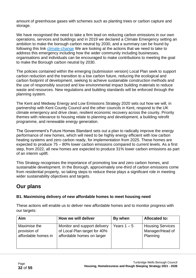amount of greenhouse gases with schemes such as planting trees or carbon capture and storage.

We have recognised the need to take a firm lead on reducing carbon emissions in our own operations, services and buildings and in 2019 we declared a Climate Emergency setting an ambition to make the borough carbon neutral by 203[0, and a summary can be found by](https://tunbridgewells.gov.uk/environment/climate-change)  [following this link climate-change](https://tunbridgewells.gov.uk/environment/climate-change) We are looking at the actions that we need to take to address this emergency including how the wider community including businesses, organisations and individuals can be encouraged to make contributions to meeting the goal to make the Borough carbon neutral by 2030.

The policies contained within the emerging (submission version) Local Plan seek to support carbon reduction and the transition to a low carbon future, reducing the ecological and carbon footprint of development, seeking to achieve sustainable construction methods and the use of responsibly sourced and low environmental impact building materials to reduce waste and resources. New regulations and building standards will be enforced through the planning system.

The Kent and Medway Energy and Low Emissions Strategy 2020 sets out how we will, in partnership with Kent County Council and the other councils in Kent, respond to the UK climate emergency and drive clean, resilient economic recovery across the county. Priority themes with relevance to housing relate to planning and development, a building retrofit programme, and renewable energy generation.

The Government's Future Homes Standard sets out a plan to radically improve the energy performance of new homes, which will need to be highly energy efficient with low carbon heating systems and zero carbon ready, for implementation from 2025. These homes are expected to produce 75 – 80% lower carbon emissions compared to current levels. As a first step, from 2022, all new homes are expected to produce 31% lower carbon emissions as part of an interim uplift.

This Strategy recognises the importance of promoting low and zero carbon homes, and sustainable development. In the Borough, approximately one-third of carbon emissions come from residential property, so taking steps to reduce these plays a significant role in meeting wider sustainability objectives and targets.

### **Our plans**

#### **B1. Maximising delivery of new affordable homes to meet housing need**

These actions will enable us to deliver new affordable homes and to monitor progress with our targets:

| Aim                 | How we will deliver          | By when     | <b>Allocated to:</b>    |
|---------------------|------------------------------|-------------|-------------------------|
| Maximise the        | Monitor and support delivery | Years 1 – 5 | <b>Housing Services</b> |
| provision of        | of Local Plan target for 40% |             | Manager/Head of         |
| affordable homes in | affordable homes on larger   |             | Planning                |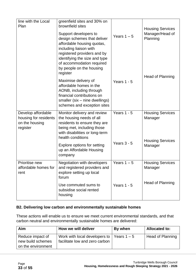| line with the Local<br>Plan                                               | greenfield sites and 30% on<br>brownfield sites<br>Support developers to<br>design schemes that deliver<br>affordable housing quotas,<br>including liaison with<br>registered providers and by<br>identifying the size and type | Years $1 - 5$ | <b>Housing Services</b><br>Manager/Head of<br>Planning        |
|---------------------------------------------------------------------------|---------------------------------------------------------------------------------------------------------------------------------------------------------------------------------------------------------------------------------|---------------|---------------------------------------------------------------|
|                                                                           | of accommodation required<br>by people on the housing<br>register                                                                                                                                                               |               | Head of Planning                                              |
|                                                                           | Maximise delivery of<br>affordable homes in the<br>AONB, including through<br>financial contributions on<br>smaller (six - nine dwellings)<br>schemes and exception sites                                                       | Years $1 - 5$ |                                                               |
| Develop affordable<br>housing for residents<br>on the housing<br>register | Monitor delivery and review<br>the housing needs of all<br>residents to ensure they are<br>being met, including those<br>with disabilities or long-term<br>health conditions                                                    | Years $1 - 5$ | <b>Housing Services</b><br>Manager<br><b>Housing Services</b> |
|                                                                           | Explore options for setting<br>up an Affordable Housing<br>company                                                                                                                                                              | Years $3 - 5$ | Manager                                                       |
| Prioritise new<br>affordable homes for<br>rent                            | <b>Negotiation with developers</b><br>and registered providers and<br>explore setting up local<br>forum                                                                                                                         | Years $1 - 5$ | <b>Housing Services</b><br>Manager                            |
|                                                                           | Use commuted sums to<br>subsidise social rented<br>housing                                                                                                                                                                      | Years $1 - 5$ | Head of Planning                                              |

#### **B2. Delivering low carbon and environmentally sustainable homes**

These actions will enable us to ensure we meet current environmental standards, and that carbon neutral and environmentally sustainable homes are delivered:

| Aim                                                         | How we will deliver                                               | By when       | <b>Allocated to:</b>    |
|-------------------------------------------------------------|-------------------------------------------------------------------|---------------|-------------------------|
| Reduce impact of<br>new build schemes<br>on the environment | Work with local developers to  <br>facilitate low and zero carbon | Years $1 - 5$ | <b>Head of Planning</b> |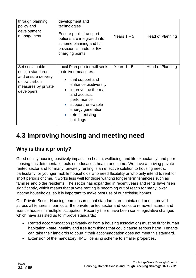| through planning<br>policy and<br>development<br>management                                                      | development and<br>technologies<br>Ensure public transport<br>options are integrated into<br>scheme planning and full<br>provision is made for EV<br>charging points                                                                                                       | Years $1 - 5$ | Head of Planning |
|------------------------------------------------------------------------------------------------------------------|----------------------------------------------------------------------------------------------------------------------------------------------------------------------------------------------------------------------------------------------------------------------------|---------------|------------------|
| Set sustainable<br>design standards<br>and ensure delivery<br>of low carbon<br>measures by private<br>developers | Local Plan policies will seek<br>to deliver measures:<br>that support and<br>enhance biodiversity<br>improve the thermal<br>$\bullet$<br>and acoustic<br>performance<br>support renewable<br>$\bullet$<br>energy generation<br>retrofit existing<br>$\bullet$<br>buildings | Years $1 - 5$ | Head of Planning |

# <span id="page-33-0"></span>**4.3 Improving housing and meeting need**

### **Why is this a priority?**

Good quality housing positively impacts on health, wellbeing, and life expectancy, and poor housing has detrimental effects on education, health and crime. We have a thriving private rented sector and for many, privately renting is an effective solution to housing needs, particularly for younger mobile households who need flexibility or who only intend to rent for short periods of time. It works less well for those wanting longer term tenancies such as families and older residents. The sector has expanded in recent years and rents have risen significantly, which means that private renting is becoming out of reach for many lower income households, so it is important to make best use of our existing homes.

Our Private Sector Housing team ensures that standards are maintained and improved across all tenures in particular the private rented sector and works to remove hazards and licence houses in multiple occupation. Recently there have been some legislative changes which have assisted us to improve standards:

- Rented accommodation (privately or from a housing association) must be fit for human habitation - safe, healthy and free from things that could cause serious harm. Tenants can take their landlords to court if their accommodation does not meet this standard.
- Extension of the mandatory HMO licensing scheme to smaller properties.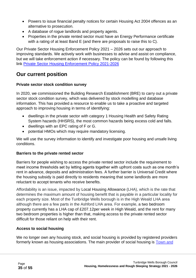- Powers to issue financial penalty notices for certain Housing Act 2004 offences as an alternative to prosecution.
- A database of rogue landlords and property agents.
- Properties in the private rented sector must have an Energy Performance certificate with a rating of at least Band E (and there are proposals to raise this to C).

Our Private Sector Housing Enforcement Policy 2021 – 2026 sets out our approach to improving standards. We actively work with businesses to advise and assist on compliance, but we will take enforcement action if necessary. The policy can be found by following this link Private Sector Housing [Enforcement](https://tunbridgewells.gov.uk/__data/assets/pdf_file/0020/383015/1611750516_PrivateSectorHousingEnforcementPolicy2021-2026.pdf) Policy 2021-2026

### **Our current position**

#### **Private sector stock condition survey**

In 2020, we commissioned the Building Research Establishment (BRE) to carry out a private sector stock condition survey, which was delivered by stock modelling and database information. This has provided a resource to enable us to take a proactive and targeted approach to improving housing in terms of identifying:

- dwellings in the private sector with category 1 Housing Health and Safety Rating System hazards (HHSRS), the most common hazards being excess cold and falls.
- dwellings with an EPC rating of F or G.
- potential HMOs which may require mandatory licensing.

We will use the survey information to identify and investigate poor housing and unsafe living conditions.

#### **Barriers to the private rented sector**

Barriers for people wishing to access the private rented sector include the requirement to meet income thresholds set by letting agents together with upfront costs such as one month's rent in advance, deposits and administration fees. A further barrier is Universal Credit where the housing subsidy is paid directly to residents meaning that some landlords are more reluctant to accept tenants who receive benefits.

Affordability is an issue, impacted by Local Housing Allowance (LHA), which is the rate that determines the maximum amount of housing benefit that is payable in a particular locality for each property size. Most of the Tunbridge Wells borough is in the High Weald LHA area although there are a few parts in the Ashford LHA area. For example, a two bedroom property currently has a LHA cap of £207.12per week in High Weald, and the rent for many two bedroom properties is higher than that, making access to the private rented sector difficult for those reliant on help with their rent.

#### **Access to social housing**

We no longer own any housing stock, and social housing is provided by registered providers formerly known as housing associations. The main provider of social housing is Town and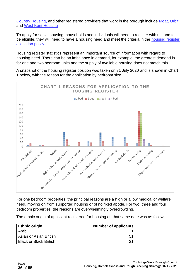[Country Housing,](https://www.tchg.org.uk/) and other registered providers that work in the borough include [Moat,](https://www.moat.co.uk/) [Orbit,](https://www.orbithomes.org.uk/) and [West Kent Housing](https://www.westkent.org/)

To apply for social housing, households and individuals will need to register with us, and to be eligible, they will need to have a housing need and meet the criteria in the [housing register](https://www.tunbridgewells.gov.uk/__data/assets/pdf_file/0005/345380/Housing-Register-Allocations-Policy-accessible-document-2.pdf)  [allocation policy](https://www.tunbridgewells.gov.uk/__data/assets/pdf_file/0005/345380/Housing-Register-Allocations-Policy-accessible-document-2.pdf)

Housing register statistics represent an important source of information with regard to housing need. There can be an imbalance in demand, for example, the greatest demand is for one and two bedroom units and the supply of available housing does not match this.

A snapshot of the housing register position was taken on 31 July 2020 and is shown in Chart 1 below, with the reason for the application by bedroom size.



For one bedroom properties, the principal reasons are a high or a low medical or welfare need, moving on from supported housing or of no fixed abode. For two, three and four bedroom properties, the reasons are overwhelmingly overcrowding.

The ethnic origin of applicant registered for housing on that same date was as follows:

| <b>Ethnic origin</b>          | <b>Number of applicants</b> |
|-------------------------------|-----------------------------|
| Arab                          |                             |
| Asian or Asian British        |                             |
| <b>Black or Black British</b> |                             |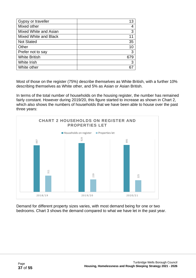| Gypsy or traveller    | 13  |
|-----------------------|-----|
| Mixed other           |     |
| Mixed White and Asian | 3   |
| Mixed White and Black |     |
| <b>Not Stated</b>     | 35  |
| Other                 | 10  |
| Prefer not to say     | 3   |
| <b>White British</b>  | 679 |
| White Irish           | 3   |
| White other           |     |

Most of those on the register (75%) describe themselves as White British, with a further 10% describing themselves as White other, and 5% as Asian or Asian British.

In terms of the total number of households on the housing register, the number has remained fairly constant. However during 2019/20, this figure started to increase as shown in Chart 2, which also shows the numbers of households that we have been able to house over the past three years:



Demand for different property sizes varies, with most demand being for one or two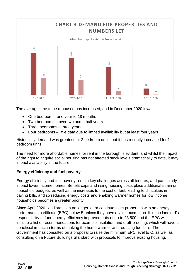

The average time to be rehoused has increased, and in December 2020 it was:

- One bedroom one year to 18 months
- Two bedrooms over two and a half years
- Three bedrooms three years
- Four bedrooms little data due to limited availability but at least four years

Historically demand was greatest for 2 bedroom units, but it has recently increased for 1 bedroom units.

The need for more affordable homes for rent in the borough is evident, and whilst the impact of the right to acquire social housing has not affected stock levels dramatically to date, it may impact availability in the future.

#### **Energy efficiency and fuel poverty**

Energy efficiency and fuel poverty remain key challenges across all tenures, and particularly impact lower income homes. Benefit caps and rising housing costs place additional strain on household budgets, as well as the increases to the cost of fuel, leading to difficulties in paying bills, and so reducing energy costs and enabling warmer homes for low income households becomes a greater priority.

Since April 2020, landlords can no longer let or continue to let properties with an energy performance certificate (EPC) below E unless they have a valid exemption. It is the landlord's responsibility to fund energy efficiency improvements of up to £3,500 and the EPC will include a list of recommendations for example insulation and draft-proofing, which will have a beneficial impact in terms of making the home warmer and reducing fuel bills. The Government has consulted on a proposal to raise the minimum EPC level to C, as well as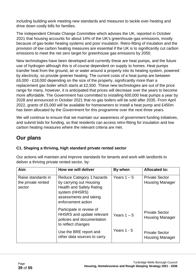including building work meeting new standards and measures to tackle over-heating and drive down costly bills for families.

The independent Climate Change Committee which advises the UK, reported in October 2021 that housing accounts for about 14% of the UK's greenhouse-gas emissions, mostly because of gas-boiler heating systems and poor insulation. Retro-fitting of insulation and the provision of low carbon heating measures are essential if the UK is to significantly cut carbon emissions to meet the net zero target for greenhouse gas emissions by 2050.

New technologies have been developed and currently these are heat pumps, and the future use of hydrogen although this is of course dependent on supply to homes. Heat pumps transfer heat from the ground, air or water around a property into its heating system, powered by electricity, so provide greener heating. The current costs of a heat pump are between £6,000 - £18,000 depending on the size of the property, significantly more than a replacement gas boiler which starts at £2,500. These new technologies are out of the price range for many, however, it is anticipated that prices will decrease over the years to become more affordable. The Government has committed to installing 600,000 heat pumps a year by 2028 and announced in October 2021 that no gas boilers will be sold after 2035. From April 2022, grants of £5,000 will be available for homeowners to install a heat pump and £450m has been allocated by the Government for this programme over the next three years.

We will continue to ensure that we maintain our awareness of government funding initiatives, and submit bids for funding, so that residents can access retro-fitting for insulation and low carbon heating measures where the relevant criteria are met.

### **Our plans**

#### **C1. Shaping a thriving, high standard private rented sector**

Our actions will maintain and improve standards for tenants and work with landlords to deliver a thriving private rented sector, by:

| Aim                                                | How we will deliver                                                                                                                                       | By when       | <b>Allocated to:</b>                            |
|----------------------------------------------------|-----------------------------------------------------------------------------------------------------------------------------------------------------------|---------------|-------------------------------------------------|
| Raise standards in<br>the private rented<br>sector | Reduce Category 1 hazards<br>by carrying out Housing<br><b>Health and Safety Rating</b><br>system (HHSRS)<br>assessments and taking<br>enforcement action | Years $1 - 5$ | <b>Private Sector</b><br><b>Housing Manager</b> |
|                                                    | Participate in review of<br><b>HHSRS</b> and update relevant<br>policies and documentation<br>to reflect changes                                          | Years $1 - 5$ | <b>Private Sector</b><br><b>Housing Manager</b> |
|                                                    | Use the BRE report and<br>other data sources to carry                                                                                                     | Years $1 - 5$ | <b>Private Sector</b><br><b>Housing Manager</b> |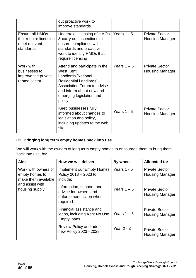|                                                                         | out proactive work to<br>improve standards                                                                                                                                                                 |               |                                                 |
|-------------------------------------------------------------------------|------------------------------------------------------------------------------------------------------------------------------------------------------------------------------------------------------------|---------------|-------------------------------------------------|
| Ensure all HMOs<br>that require licensing<br>meet relevant<br>standards | Undertake licensing of HMOs<br>& carry out inspections to<br>ensure compliance with<br>standards and proactive<br>work to identify HMOs that<br>require licensing                                          | Years $1 - 5$ | <b>Private Sector</b><br><b>Housing Manager</b> |
| Work with<br>businesses to<br>improve the private<br>rented sector      | Attend and participate in the<br><b>West Kent</b><br>Landlords'/National<br><b>Residential Landlords'</b><br>Association Forum to advise<br>and inform about new and<br>emerging legislation and<br>policy | Years $1 - 5$ | <b>Private Sector</b><br><b>Housing Manager</b> |
|                                                                         | Keep businesses fully<br>informed about changes to<br>legislation and policy,<br>including updates to the web<br>site                                                                                      | Years $1 - 5$ | <b>Private Sector</b><br><b>Housing Manager</b> |

#### **C2. Bringing long term empty homes back into use**

We will work with the owners of long term empty homes to encourage them to bring them back into use, by:

| Aim                                                          | How we will deliver                                                                       | By when       | <b>Allocated to:</b>                            |
|--------------------------------------------------------------|-------------------------------------------------------------------------------------------|---------------|-------------------------------------------------|
| Work with owners of<br>empty homes to<br>make them available | Implement our Empty Homes<br>Policy $2018 - 2023$ to<br>include:                          | Years $1 - 5$ | <b>Private Sector</b><br><b>Housing Manager</b> |
| and assist with<br>housing supply                            | Information, support, and<br>advice for owners and<br>enforcement action when<br>required | Years $1 - 5$ | <b>Private Sector</b><br><b>Housing Manager</b> |
|                                                              | Financial assistance and<br>loans, including Kent No Use<br><b>Empty loans</b>            | Years $1 - 5$ | <b>Private Sector</b><br><b>Housing Manager</b> |
|                                                              | Review Policy and adopt<br>new Policy 2023 - 2028                                         | Year $2 - 3$  | <b>Private Sector</b><br><b>Housing Manager</b> |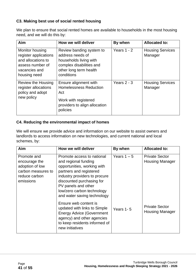#### **C3. Making best use of social rented housing**

We plan to ensure that social rented homes are available to households in the most housing need, and we will do this by:

| Aim                                                                                                                 | How we will deliver                                                                                                                        | By when       | <b>Allocated to:</b>               |
|---------------------------------------------------------------------------------------------------------------------|--------------------------------------------------------------------------------------------------------------------------------------------|---------------|------------------------------------|
| Monitor housing<br>register applications<br>and allocations to<br>assess number of<br>vacancies and<br>housing need | Review banding system to<br>address needs of<br>households living with<br>complex disabilities and<br>other long term health<br>conditions | Years $1 - 2$ | <b>Housing Services</b><br>Manager |
| Review the Housing<br>register allocations<br>policy and adopt<br>new policy                                        | Ensure alignment with<br><b>Homelessness Reduction</b><br>Act<br>Work with registered<br>providers to align allocation<br>policies         | Years $2 - 3$ | <b>Housing Services</b><br>Manager |

#### **C4. Reducing the environmental impact of homes**

We will ensure we provide advice and information on our website to assist owners and landlords to access information on new technologies, and current national and local schemes, by:

| Aim                                                                                                 | How we will deliver                                                                                                                                                                                                                                            | By when       | <b>Allocated to:</b>                            |
|-----------------------------------------------------------------------------------------------------|----------------------------------------------------------------------------------------------------------------------------------------------------------------------------------------------------------------------------------------------------------------|---------------|-------------------------------------------------|
| Promote and<br>encourage the<br>adoption of low<br>carbon measures to<br>reduce carbon<br>emissions | Promote access to national<br>and regional funding<br>opportunities, working with<br>partners and registered<br>industry providers to procure<br>discounted purchasing for<br>PV panels and other<br>low/zero carbon technology<br>and water saving technology | Years $1 - 5$ | <b>Private Sector</b><br><b>Housing Manager</b> |
|                                                                                                     | Ensure web content is<br>updated with links to Simple<br><b>Energy Advice (Government</b><br>agency) and other agencies<br>to keep residents informed of<br>new initiatives                                                                                    | Years 1-5     | <b>Private Sector</b><br><b>Housing Manager</b> |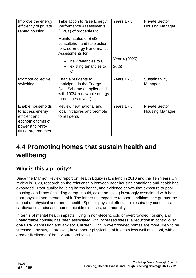| Improve the energy<br>efficiency of private<br>rented housing                                                         | Take action to raise Energy<br><b>Performance Assessments</b><br>(EPCs) of properties to E<br>Monitor status of BEIS<br>consultation and take action<br>to raise Energy Performance<br>Assessments for:<br>new tenancies to C<br>existing tenancies to<br>( ) | Years $1 - 3$<br>Year 4 (2025)<br>2028 | <b>Private Sector</b><br><b>Housing Manager</b> |
|-----------------------------------------------------------------------------------------------------------------------|---------------------------------------------------------------------------------------------------------------------------------------------------------------------------------------------------------------------------------------------------------------|----------------------------------------|-------------------------------------------------|
| Promote collective<br>switching                                                                                       | Enable residents to<br>participate in the Energy<br>Deal Scheme (suppliers bid<br>with 100% renewable energy<br>three times a year)                                                                                                                           | Years $1 - 5$                          | Sustainability<br>Manager                       |
| Enable households<br>to access energy<br>efficient and<br>economic forms of<br>power and retro-<br>fitting programmes | Review new national and<br>local initiatives and promote<br>to residents                                                                                                                                                                                      | Years $1 - 5$                          | <b>Private Sector</b><br><b>Housing Manager</b> |

# <span id="page-41-0"></span>**4.4 Promoting homes that sustain health and wellbeing**

### **Why is this a priority?**

Since the Marmot Review report on Health Equity in England in 2010 and the Ten Years On review in 2020, research on the relationship between poor housing conditions and health has expanded. Poor quality housing harms health, and evidence shows that exposure to poor housing conditions (including damp, mould, cold and noise) is strongly associated with both poor physical and mental health. The longer the exposure to poor conditions, the greater the impact on physical and mental health. Specific physical effects are respiratory conditions, cardiovascular disease, communicable diseases, and mortality.

In terms of mental health impacts, living in non-decent, cold or overcrowded housing and unaffordable housing has been associated with increased stress, a reduction in control over one's life, depression and anxiety. Children living in overcrowded homes are more likely to be stressed, anxious, depressed, have poorer physical health, attain less well at school, with a greater likelihood of behavioural problems.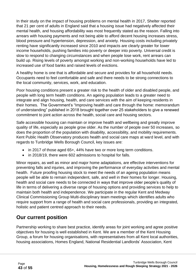In their study on the impact of housing problems on mental health in 2017, Shelter reported that 21 per cent of adults in England said that a housing issue had negatively affected their mental health, and housing affordability was most frequently stated as the reason. Falling into arrears with housing payments and not being able to afford decent housing increases stress, blood pressure and hypertension, depression, and anxiety. Housing costs including privately renting have significantly increased since 2010 and impacts are clearly greater for lower income households, pushing families into poverty or deeper into poverty. Universal credit is slow to respond to changing circumstances and when people lose work, rent arrears can build up. Rising levels of poverty amongst working and non-working households have led to increased use of food banks and raised levels of evictions.

A healthy home is one that is affordable and secure and provides for all household needs. Occupants need to feel comfortable and safe and there needs to be strong connections to the local community, services, work, and education.

Poor housing conditions present a greater risk to the health of older and disabled people, and people with long term health conditions. An ageing population leads to a greater need to integrate and align housing, health, and care services with the aim of keeping residents in their homes. The Government's "Improving health and care through the home: memorandum of understanding" published in 2018 brought together over 25 stakeholders to give a renewed commitment to joint action across the health, social care and housing sectors.

Safe accessible housing can maintain or improve health and wellbeing and greatly improve quality of life, especially as people grow older. As the number of people over 50 increases, so does the proportion of the population with disability, accessibility, and mobility requirements. Kent Public Health Observatory produces health and social care maps at ward level, and with regards to Tunbridge Wells Borough Council, key issues are:

- in 2017 of those aged 65+, 44% have two or more long term conditions.
- in 2018/19, there were 602 admissions to hospital for falls.

Minor repairs, as well as minor and major home adaptations, are effective interventions for preventing falls and injuries, and improving the performance of everyday activities and mental health. Future proofing housing stock to meet the needs of an ageing population means people will be able to remain independent, safe, and well in their homes for longer. Housing, health and social care needs to be connected in ways that improve older people's quality of life in terms of delivering a diverse range of housing options and providing services to help to maintain both health and independence. We participate in the regular Kent and Medway Clinical Commissioning Group Multi-disciplinary team meetings which identifies adults who require support from a range of health and social care professionals, providing an integrated, holistic and patient centred approach to their needs.

### **Our current position**

Partnership working to share best practice, identify areas for joint working and agree positive objectives for housing is well established in Kent. We are a member of the Kent Housing Group, a forum for housing organisations, with representatives from all Kent local authorities, housing associations, Homes England, National Residential Landlords' Association, Kent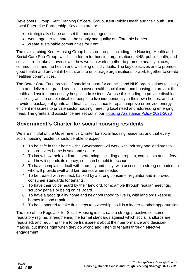Developers' Group, Kent Planning Officers' Group, Kent Public Health and the South East Local Enterprise Partnership. Key aims are to:

- strategically shape and set the housing agenda.
- work together to improve the supply and quality of affordable homes.
- create sustainable communities for Kent.

The over-arching Kent Housing Group has sub-groups, including the Housing, Health and Social Care Sub-Group, which is a forum for housing organisations, NHS, public health, and social care to take an overview of how we can work together to promote healthy places, communities, and the health and wellbeing of individuals. The key objectives are to promote good health and prevent ill-health, and to encourage organisations to work together to create healthier communities.

The Better Care Fund provides financial support for councils and NHS organisations to jointly plan and deliver integrated services to cover health, social care, and housing, to prevent illhealth and avoid unnecessary hospital admissions. We use this funding to provide disabled facilities grants to enable disabled people to live independently in their own homes, and to provide a package of grants and financial assistance to repair, improve or provide energy efficient measures to private sector housing, meeting local need and addressing emerging need. The grants and assistance are set out in our Housing [Assistance](https://tunbridgewells.gov.uk/__data/assets/pdf_file/0011/345638/Housing-Assistance-Policy-2021-2026-update-accessible-version.pdf) Policy 2021-2026

### **Government's Charter for social housing residents**

We are mindful of the Government's Charter for social housing residents, and that every social housing resident should be able to expect:

- 1. To be safe in their home the Government will work with industry and landlords to ensure every home is safe and secure.
- 2. To know how their landlord is performing, including on repairs, complaints and safety, and how it spends its money, so it can be held to account.
- 3. To have complaints dealt with promptly and fairly, with access to a strong ombudsman who will provide swift and fair redress when needed.
- 4. To be treated with respect, backed by a strong consumer regulator and improved consumer standards for tenants.
- 5. To have their voice heard by their landlord, for example through regular meetings, scrutiny panels or being on its Board.
- 6. To have a good quality home and neighbourhood to live in, with landlords keeping homes in good repair.
- 7. To be supported to take first steps to ownership, so it is a ladder to other opportunities.

The role of the Regulator for Social Housing is to create a strong, proactive consumer regulatory regime, strengthening the formal standards against which social landlords are regulated, and requiring them to be transparent about their performance and decisionmaking, put things right when they go wrong and listen to tenants through effective engagement.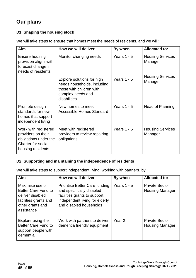### **Our plans**

#### **D1. Shaping the housing stock**

We will take steps to ensure that homes meet the needs of residents, and we will:

| Aim                                                                                                                   | How we will deliver                                                                                                        | By when       | <b>Allocated to:</b>               |
|-----------------------------------------------------------------------------------------------------------------------|----------------------------------------------------------------------------------------------------------------------------|---------------|------------------------------------|
| Ensure housing<br>provision aligns with<br>forecast change in<br>needs of residents                                   | Monitor changing needs                                                                                                     | Years $1 - 5$ | <b>Housing Services</b><br>Manager |
|                                                                                                                       | Explore solutions for high<br>needs households, including<br>those with children with<br>complex needs and<br>disabilities | Years $1 - 5$ | <b>Housing Services</b><br>Manager |
| Promote design<br>standards for new<br>homes that support<br>independent living                                       | New homes to meet<br>Accessible Homes Standard                                                                             | Years $1 - 5$ | Head of Planning                   |
| Work with registered<br>providers on their<br>obligations under the<br><b>Charter for social</b><br>housing residents | Meet with registered<br>providers to review repairing<br>obligations                                                       | Years $1 - 5$ | <b>Housing Services</b><br>Manager |

#### **D2. Supporting and maintaining the independence of residents**

We will take steps to support independent living, working with partners, by:

| Aim                                                                                                                          | How we will deliver                                                                                                                                             | By when           | <b>Allocated to:</b>                            |
|------------------------------------------------------------------------------------------------------------------------------|-----------------------------------------------------------------------------------------------------------------------------------------------------------------|-------------------|-------------------------------------------------|
| Maximise use of<br><b>Better Care Fund to</b><br>deliver disabled<br>facilities grants and<br>other grants and<br>assistance | <b>Prioritise Better Care funding</b><br>and specifically disabled<br>facilities grants to support<br>independent living for elderly<br>and disabled households | Years $1 - 5$     | <b>Private Sector</b><br><b>Housing Manager</b> |
| Explore using the<br><b>Better Care Fund to</b><br>support people with<br>dementia                                           | Work with partners to deliver<br>dementia friendly equipment                                                                                                    | Year <sub>2</sub> | <b>Private Sector</b><br><b>Housing Manager</b> |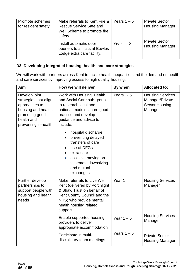| Promote schemes     | Make referrals to Kent Fire &                                                          | Years $1 - 5$ | <b>Private Sector</b>                           |
|---------------------|----------------------------------------------------------------------------------------|---------------|-------------------------------------------------|
| for resident safety | <b>Rescue Service Safe and</b>                                                         |               | <b>Housing Manager</b>                          |
|                     | Well Scheme to promote fire                                                            |               |                                                 |
|                     | safety                                                                                 |               |                                                 |
|                     | Install automatic door<br>openers to all flats at Bowles<br>Lodge extra care facility. | Year $1 - 2$  | <b>Private Sector</b><br><b>Housing Manager</b> |

#### **D3. Developing integrated housing, health, and care strategies**

We will work with partners across Kent to tackle health inequalities and the demand on health and care services by improving access to high quality housing:

| Aim                                                                                                                                     | How we will deliver                                                                                                                                                                           | By when       | <b>Allocated to:</b>                                                           |
|-----------------------------------------------------------------------------------------------------------------------------------------|-----------------------------------------------------------------------------------------------------------------------------------------------------------------------------------------------|---------------|--------------------------------------------------------------------------------|
| Develop joint<br>strategies that align<br>approaches to<br>housing and health,<br>promoting good<br>health and<br>preventing ill-health | Work with Housing, Health<br>and Social Care sub-group<br>to research local and<br>national models, share good<br>practice and develop<br>guidance and advice to<br>include:                  | Years 1-5     | <b>Housing Services</b><br>Manager/Private<br><b>Sector Housing</b><br>Manager |
|                                                                                                                                         | hospital discharge<br>$\bullet$<br>preventing delayed<br>transfers of care<br>use of DFGs<br>extra care<br>assistive moving on<br>$\bullet$<br>schemes, downsizing<br>and mutual<br>exchanges |               |                                                                                |
| Further develop<br>partnerships to<br>support people with<br>housing and health<br>needs                                                | Make referrals to Live Well<br>Kent (delivered by Porchlight<br>& Shaw Trust on behalf of<br>Kent County Council and the<br>NHS) who provide mental<br>health housing related<br>support      | Year 1        | <b>Housing Services</b><br>Manager                                             |
|                                                                                                                                         | Enable supported housing<br>providers to deliver<br>appropriate accommodation                                                                                                                 | Year $1 - 5$  | <b>Housing Services</b><br>Manager                                             |
|                                                                                                                                         | Participate in multi-<br>disciplinary team meetings,                                                                                                                                          | Years $1 - 5$ | <b>Private Sector</b><br><b>Housing Manager</b>                                |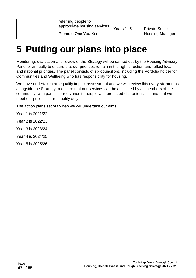| referring people to<br>appropriate housing services<br>Promote One You Kent | Years 1-5 | <b>Private Sector</b><br><b>Housing Manager</b> |
|-----------------------------------------------------------------------------|-----------|-------------------------------------------------|
|-----------------------------------------------------------------------------|-----------|-------------------------------------------------|

# <span id="page-46-0"></span>**5 Putting our plans into place**

Monitoring, evaluation and review of the Strategy will be carried out by the Housing Advisory Panel bi-annually to ensure that our priorities remain in the right direction and reflect local and national priorities. The panel consists of six councillors, including the Portfolio holder for Communities and Wellbeing who has responsibility for housing.

We have undertaken an equality impact assessment and we will review this every six months alongside the Strategy to ensure that our services can be accessed by all members of the community, with particular relevance to people with protected characteristics, and that we meet our public sector equality duty.

The action plans set out when we will undertake our aims.

Year 1 is 2021/22 Year 2 is 2022/23 Year 3 is 2023/24 Year 4 is 2024/25 Year 5 is 2025/26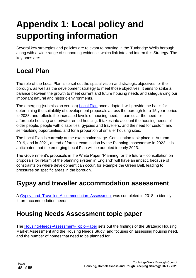# <span id="page-47-0"></span>**Appendix 1: Local policy and supporting information**

Several key strategies and policies are relevant to housing in the Tunbridge Wells borough, along with a wide range of supporting evidence, which link into and inform this Strategy. The key ones are:

# <span id="page-47-1"></span>**Local Plan**

The role of the Local Plan is to set out the spatial vision and strategic objectives for the borough, as well as the development strategy to meet those objectives. It aims to strike a balance between the growth to meet current and future housing needs and safeguarding our important natural and historic environments.

The emerging (submission version) [Local Plan](https://tunbridgewells.gov.uk/__data/assets/pdf_file/0009/403587/CD_3.128_Local-Plan_Submission-accessible_reduced.pdf) once adopted, will provide the basis for determining the suitability of development proposals across the borough for a 15 year period to 2038, and reflects the increased levels of housing need, in particular the need for affordable housing and private rented housing. It takes into account the housing needs of older people, people with disabilities, gypsies and travellers, and the need for custom and self-building opportunities, and for a proportion of smaller housing sites.

The Local Plan is currently at the examination stage. Consultation took place in Autumn 2019, and in 2021, ahead of formal examination by the Planning Inspectorate in 2022. It is anticipated that the emerging Local Plan will be adopted in early 2023.

The Government's proposals in the White Paper "Planning for the future – consultation on proposals for reform of the planning system in England" will have an impact, because of constraints on where development can occur, for example the Green Belt, leading to pressures on specific areas in the borough.

### <span id="page-47-2"></span>**Gypsy and traveller accommodation assessment**

A [Gypsy\\_and\\_Traveller\\_Accommodation\\_Assessment](https://tunbridgewells.gov.uk/__data/assets/pdf_file/0007/387520/Gypsy_and_Traveller_Accommodation_Assessment_2018.pdf) was completed in 2018 to identify future accommodation needs.

### <span id="page-47-3"></span>**Housing Needs Assessment topic paper**

The [Housing-Needs-Assessment-Topic-Paper](https://tunbridgewells.gov.uk/__data/assets/pdf_file/0003/388092/Housing-Needs-Assessment-Topic-Paper.pdf) sets out the findings of the Strategic Housing Market Assessment and the Housing Needs Study, and focuses on assessing housing need, and the number of homes that need to be planned for.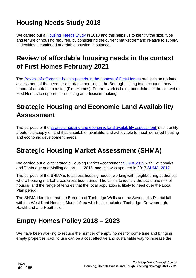# <span id="page-48-0"></span>**Housing Needs Study 2018**

We carried out a Housing Needs Study in 2018 and this helps us to identify the size, type and tenure of housing required, by considering the current market demand relative to supply. It identifies a continued affordable housing imbalance.

## <span id="page-48-1"></span>**Review of affordable housing needs in the context of First Homes February 2021**

The [Review-of-affordable-housing-needs-in-the-context-of-First-Homes](https://tunbridgewells.gov.uk/__data/assets/pdf_file/0003/385293/Review-of-affordable-housing-needs-in-the-context-of-First-Homes_accessible.pdf) provides an updated assessment of the need for affordable housing in the Borough, taking into account a new tenure of affordable housing (First Homes). Further work is being undertaken in the context of First Homes to support plan-making and decision-making.

## <span id="page-48-2"></span>**Strategic Housing and Economic Land Availability Assessment**

The purpose of the [strategic housing and economic land availability assessment i](https://tunbridgewells.gov.uk/planning/planning-policy/local-plan/shelaa)s to identify a potential supply of land that is suitable, available, and achievable to meet identified housing and economic development needs.

# <span id="page-48-3"></span>**Strategic Housing Market Assessment (SHMA)**

We carried out a joint Strategic Housing Market Assessment [SHMA-2015](https://tunbridgewells.gov.uk/__data/assets/pdf_file/0011/387524/a-SHMA-2015.pdf) with Sevenoaks and Tonbridge and Malling councils in 2015, and this was updated in 2017 SHMA 2017

The purpose of the SHMA is to assess housing needs, working with neighbouring authorities where housing market areas cross boundaries. The aim is to identify the scale and mix of housing and the range of tenures that the local population is likely to need over the Local Plan period.

The SHMA identified that the Borough of Tunbridge Wells and the Sevenoaks District fall within a West Kent Housing Market Area which also includes Tonbridge, Crowborough, Hawkhurst and Heathfield.

## <span id="page-48-4"></span>**Empty Homes Policy 2018 – 2023**

We have been working to reduce the number of empty homes for some time and bringing empty properties back to use can be a cost effective and sustainable way to increase the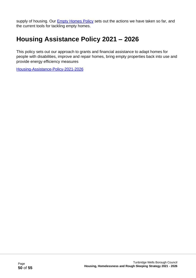supply of housing. Our **Empty [Homes](https://www.tunbridgewells.gov.uk/__data/assets/pdf_file/0017/345050/1599658114_EmptyHomesPolicy2018-2023Accessibleversion.pdf) Policy** sets out the actions we have taken so far, and the current tools for tackling empty homes.

# <span id="page-49-0"></span>**Housing Assistance Policy 2021 – 2026**

This policy sets out our approach to grants and financial assistance to adapt homes for people with disabilities, improve and repair homes, bring empty properties back into use and provide energy efficiency measures

[Housing-Assistance-Policy-2021-2026](https://tunbridgewells.gov.uk/__data/assets/pdf_file/0011/345638/Housing-Assistance-Policy-2021-2026-update-accessible-version.pdf)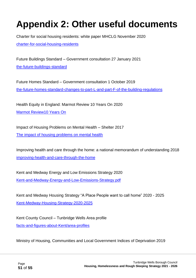# <span id="page-50-0"></span>**Appendix 2: Other useful documents**

Charter for social housing residents: white paper MHCLG November 2020 [charter-for-social-housing-residents](https://www.gov.uk/government/publications/the-charter-for-social-housing-residents-social-housing-white-paper)

Future Buildings Standard – Government consultation 27 January 2021 [the-future-buildings-standard](https://www.gov.uk/government/consultations/the-future-buildings-standard)

Future Homes Standard – Government consultation 1 October 2019 [the-future-homes-standard-changes-to-part-L-and-part-F-of-the-building-regulations](https://www.gov.uk/government/consultations/the-future-homes-standard-changes-to-part-l-and-part-f-of-the-building-regulations-for-new-dwellings)

Health Equity in England: Marmot Review 10 Years On 2020 [Marmot Review10 Years On](https://www.health.org.uk/sites/default/files/upload/publications/2020/Health%20Equity%20in%20England_The%20Marmot%20Review%2010%20Years%20On_full%20report.pdf)

Impact of Housing Problems on Mental Health – Shelter 2017 [The impact of housing problems on mental health](https://assets.ctfassets.net/6sxvmndnpn0s/59MBno13nAzVDGZeSjiJkX/3c2b8e75becb0e3f10057f696c95c284/Housing_and_mental_health_-_detailed_report.pdf) 

Improving health and care through the home: a national memorandum of understanding 2018 [improving-health-and-care-through-the-home](https://www.gov.uk/government/publications/improving-health-and-care-through-the-home-mou)

Kent and Medway Energy and Low Emissions Strategy 2020 [Kent-and-Medway-Energy-and-Low-Emissions-Strategy.pdf](https://www.kent.gov.uk/__data/assets/pdf_file/0009/112401/Kent-and-Medway-Energy-and-Low-Emissions-Strategy.pdf)

Kent and Medway Housing Strategy "A Place People want to call home" 2020 - 2025 [Kent-Medway-Housing-Strategy-2020-2025](https://www.kenthousinggroup.org.uk/assets/uploads/large/FINAL-Kent-Medway-Housing-Strategy-2020-2025-29.7.2020.pdf)

Kent County Council – Tunbridge Wells Area profile [facts-and-figures-about-Kent/area-profiles](https://www.kent.gov.uk/about-the-council/information-and-data/facts-and-figures-about-Kent/area-profiles)

Ministry of Housing, Communities and Local Government Indices of Deprivation 2019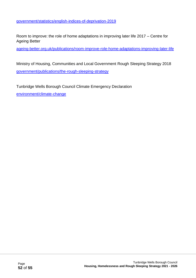Room to improve: the role of home adaptations in improving later life 2017 – Centre for Ageing Better

[ageing-better.org.uk/publications/room-improve-role-home-adaptations-improving-later-life](https://www.ageing-better.org.uk/publications/room-improve-role-home-adaptations-improving-later-life)

Ministry of Housing, Communities and Local Government Rough Sleeping Strategy 2018 [government/publications/the-rough-sleeping-strategy](https://www.gov.uk/government/publications/the-rough-sleeping-strategy)

Tunbridge Wells Borough Council Climate Emergency Declaration [environment/climate-change](https://tunbridgewells.gov.uk/environment/climate-change)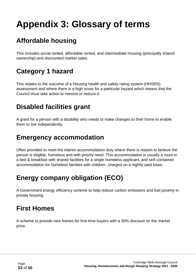# <span id="page-52-0"></span>**Appendix 3: Glossary of terms**

# <span id="page-52-1"></span>**Affordable housing**

This includes social rented, affordable rented, and intermediate housing (principally shared ownership) and discounted market sales.

# <span id="page-52-2"></span>**Category 1 hazard**

This relates to the outcome of a Housing health and safety rating system (HHSRS) assessment and where there is a high score for a particular hazard which means that the Council must take action to remove or reduce it.

### <span id="page-52-3"></span>**Disabled facilities grant**

A grant for a person with a disability who needs to make changes to their home to enable them to live independently.

### <span id="page-52-4"></span>**Emergency accommodation**

Often provided to meet the interim accommodation duty where there is reason to believe the person is eligible, homeless and with priority need. This accommodation is usually a room in a bed & breakfast with shared facilities for a single homeless applicant, and self-contained accommodation for homeless families with children, charged on a nightly paid basis.

# <span id="page-52-5"></span>**Energy company obligation (ECO)**

A Government energy efficiency scheme to help reduce carbon emissions and fuel poverty in private housing.

## <span id="page-52-6"></span>**First Homes**

A scheme to provide new homes for first-time buyers with a 30% discount on the market price.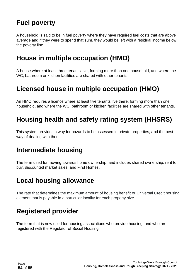# <span id="page-53-0"></span>**Fuel poverty**

A household is said to be in fuel poverty where they have required fuel costs that are above average and if they were to spend that sum, they would be left with a residual income below the poverty line.

# <span id="page-53-1"></span>**House in multiple occupation (HMO)**

A house where at least three tenants live, forming more than one household, and where the WC, bathroom or kitchen facilities are shared with other tenants.

### <span id="page-53-2"></span>**Licensed house in multiple occupation (HMO)**

An HMO requires a licence where at least five tenants live there, forming more than one household, and where the WC, bathroom or kitchen facilities are shared with other tenants.

# <span id="page-53-3"></span>**Housing health and safety rating system (HHSRS)**

This system provides a way for hazards to be assessed in private properties, and the best way of dealing with them.

### <span id="page-53-4"></span>**Intermediate housing**

The term used for moving towards home ownership, and includes shared ownership, rent to buy, discounted market sales, and First Homes.

### <span id="page-53-5"></span>**Local housing allowance**

The rate that determines the maximum amount of housing benefit or Universal Credit housing element that is payable in a particular locality for each property size.

### <span id="page-53-6"></span>**Registered provider**

The term that is now used for housing associations who provide housing, and who are registered with the Regulator of Social Housing.